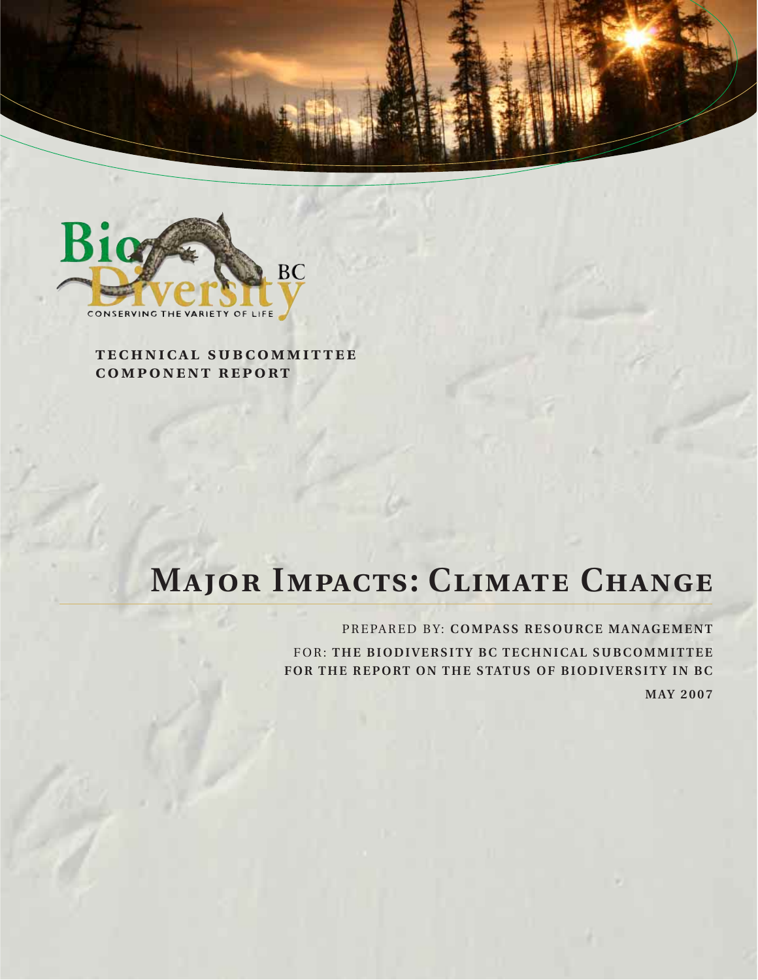



**technical subcommittee component report**

# **MAJOR IMPACTS: CLIMATE CHANGE**

PREPARED BY: **COMPASS RESOURCE MANAGEMENT** FOR: **THE BIODIVERSITY BC TECHNICAL SUBCOMMITTEE FOR THE REPORT ON THE STATUS OF BIODIVERSITY IN BC MAY 2007**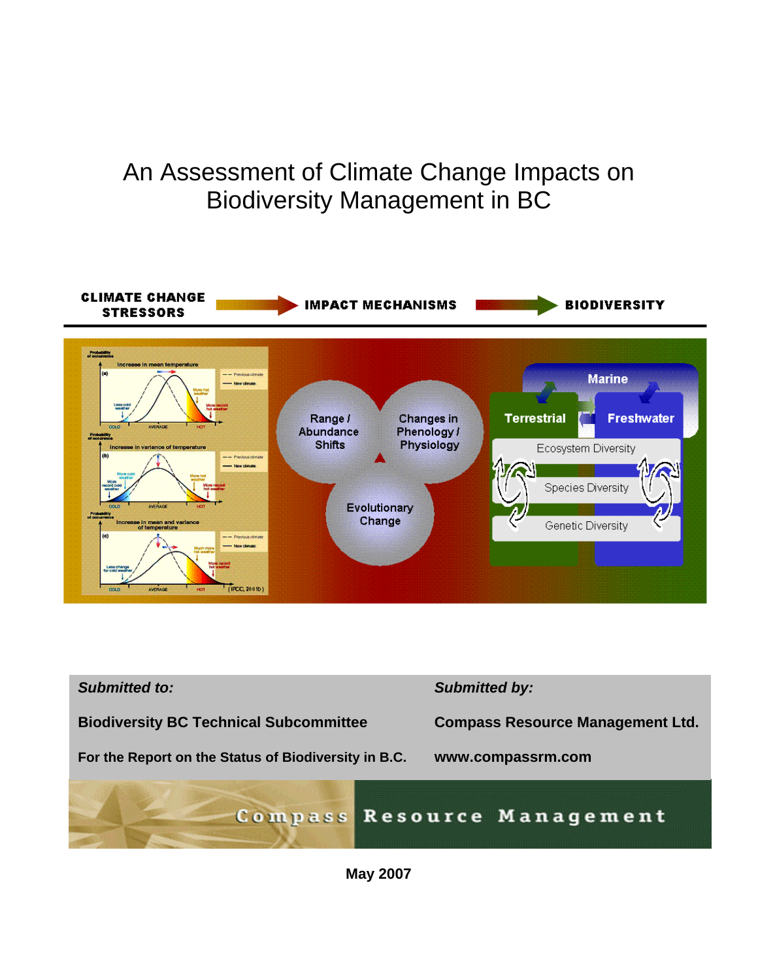# An Assessment of Climate Change Impacts on Biodiversity Management in BC





**May 2007**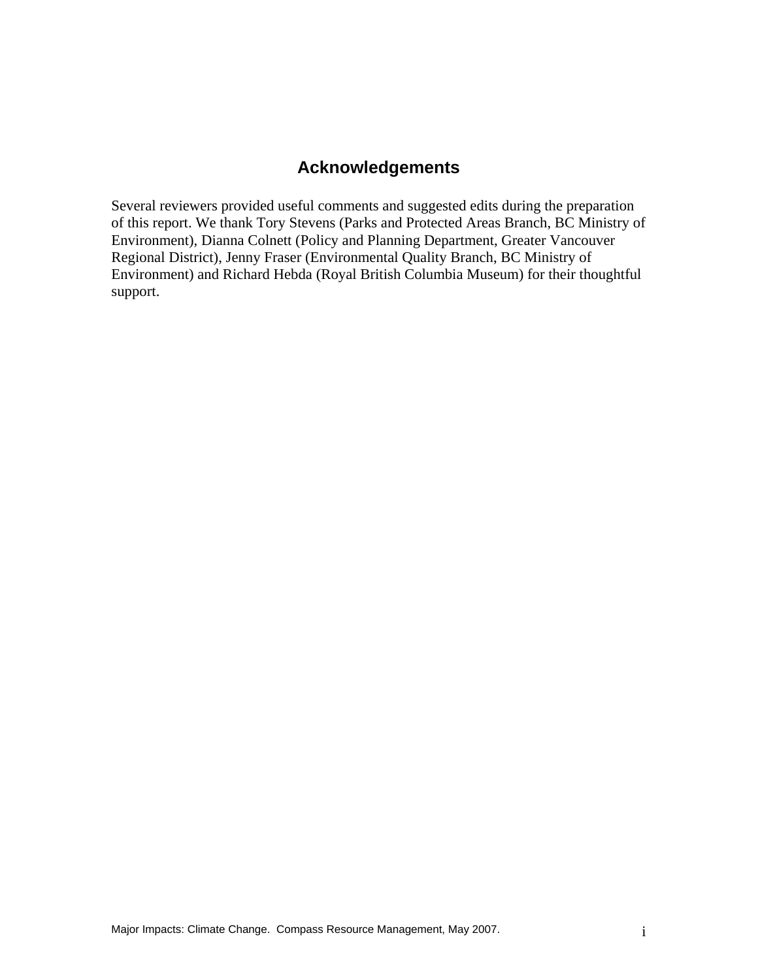# **Acknowledgements**

Several reviewers provided useful comments and suggested edits during the preparation of this report. We thank Tory Stevens (Parks and Protected Areas Branch, BC Ministry of Environment), Dianna Colnett (Policy and Planning Department, Greater Vancouver Regional District), Jenny Fraser (Environmental Quality Branch, BC Ministry of Environment) and Richard Hebda (Royal British Columbia Museum) for their thoughtful support.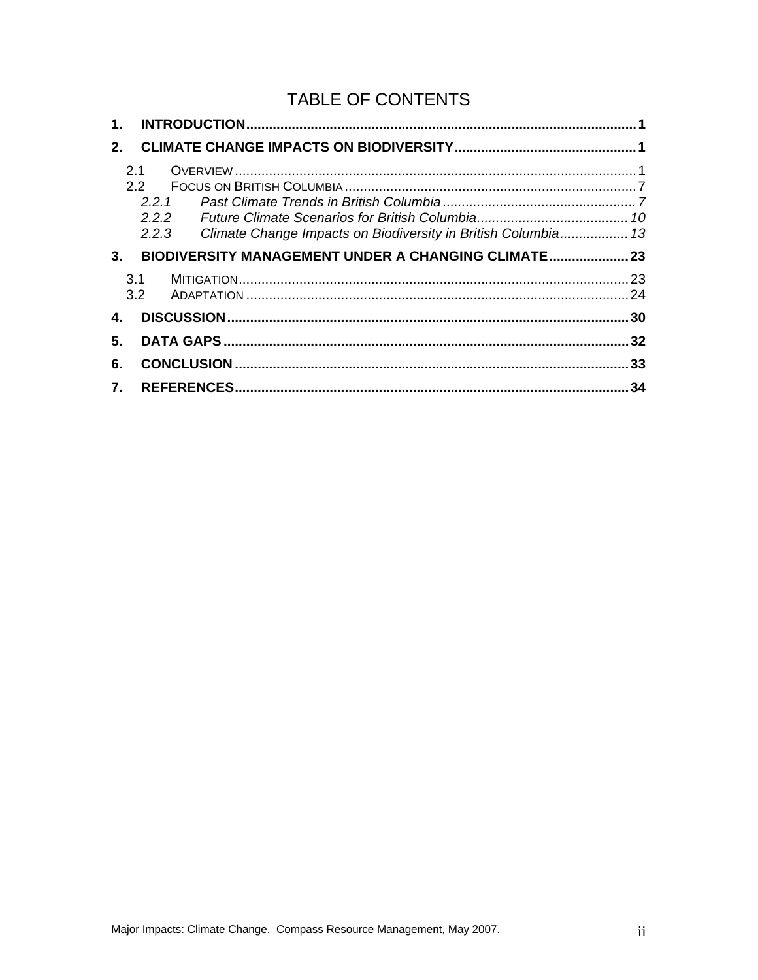# TABLE OF CONTENTS

| 2. |                                                                        |      |
|----|------------------------------------------------------------------------|------|
|    | 2.1<br>$2.2^{\circ}$                                                   |      |
|    | 221                                                                    |      |
|    | 2.2.2                                                                  |      |
|    | Climate Change Impacts on Biodiversity in British Columbia 13<br>2.2.3 |      |
| 3. | BIODIVERSITY MANAGEMENT UNDER A CHANGING CLIMATE 23                    |      |
|    | 3.1                                                                    |      |
|    | 3.2                                                                    |      |
| 4. |                                                                        |      |
| 5. |                                                                        | .32  |
| 6. |                                                                        | . 33 |
|    |                                                                        |      |
| 7. |                                                                        | 34   |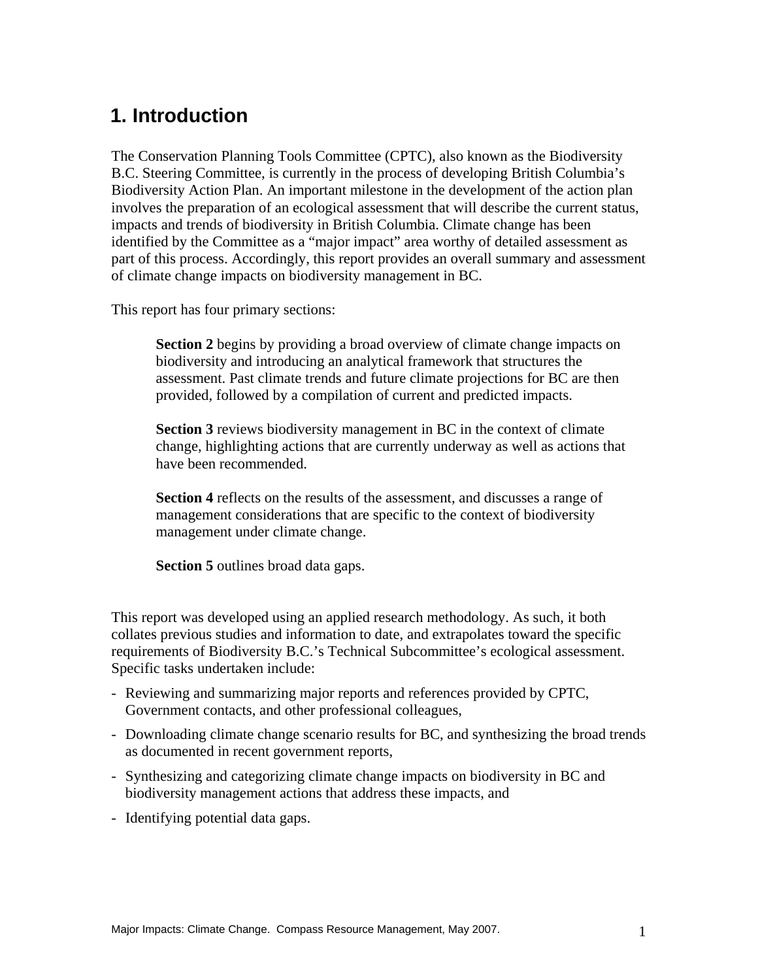# **1. Introduction**

The Conservation Planning Tools Committee (CPTC), also known as the Biodiversity B.C. Steering Committee, is currently in the process of developing British Columbia's Biodiversity Action Plan. An important milestone in the development of the action plan involves the preparation of an ecological assessment that will describe the current status, impacts and trends of biodiversity in British Columbia. Climate change has been identified by the Committee as a "major impact" area worthy of detailed assessment as part of this process. Accordingly, this report provides an overall summary and assessment of climate change impacts on biodiversity management in BC.

This report has four primary sections:

**Section 2** begins by providing a broad overview of climate change impacts on biodiversity and introducing an analytical framework that structures the assessment. Past climate trends and future climate projections for BC are then provided, followed by a compilation of current and predicted impacts.

**Section 3** reviews biodiversity management in BC in the context of climate change, highlighting actions that are currently underway as well as actions that have been recommended.

**Section 4** reflects on the results of the assessment, and discusses a range of management considerations that are specific to the context of biodiversity management under climate change.

**Section 5** outlines broad data gaps.

This report was developed using an applied research methodology. As such, it both collates previous studies and information to date, and extrapolates toward the specific requirements of Biodiversity B.C.'s Technical Subcommittee's ecological assessment. Specific tasks undertaken include:

- Reviewing and summarizing major reports and references provided by CPTC, Government contacts, and other professional colleagues,
- Downloading climate change scenario results for BC, and synthesizing the broad trends as documented in recent government reports,
- Synthesizing and categorizing climate change impacts on biodiversity in BC and biodiversity management actions that address these impacts, and
- Identifying potential data gaps.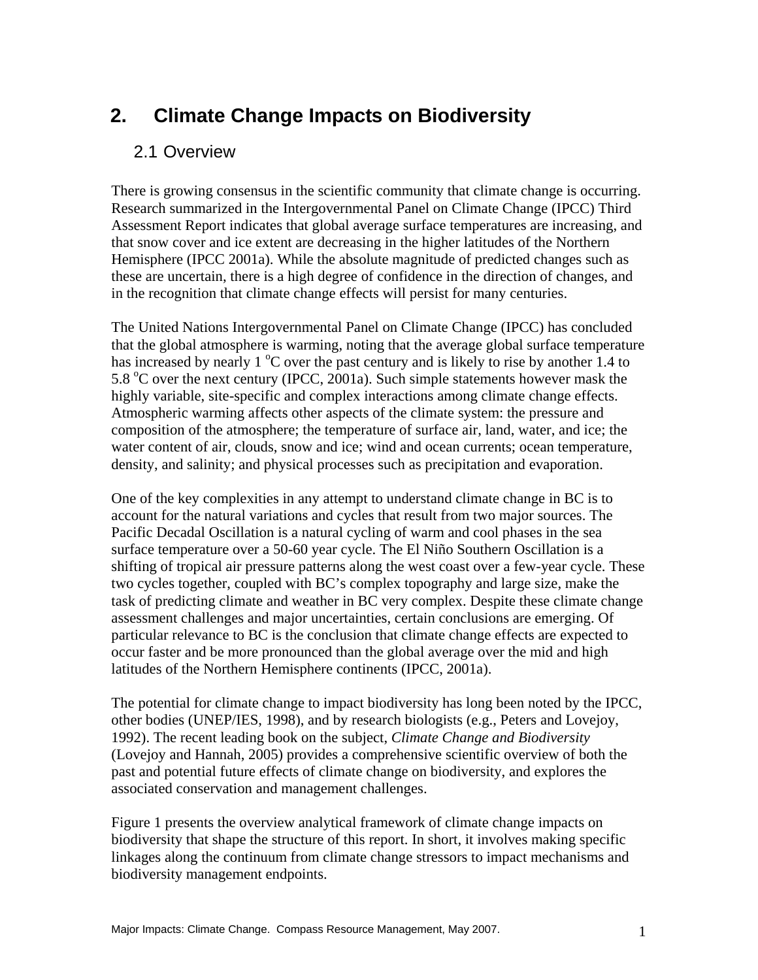# **2. Climate Change Impacts on Biodiversity**

# 2.1 Overview

There is growing consensus in the scientific community that climate change is occurring. Research summarized in the Intergovernmental Panel on Climate Change (IPCC) Third Assessment Report indicates that global average surface temperatures are increasing, and that snow cover and ice extent are decreasing in the higher latitudes of the Northern Hemisphere (IPCC 2001a). While the absolute magnitude of predicted changes such as these are uncertain, there is a high degree of confidence in the direction of changes, and in the recognition that climate change effects will persist for many centuries.

The United Nations Intergovernmental Panel on Climate Change (IPCC) has concluded that the global atmosphere is warming, noting that the average global surface temperature has increased by nearly 1 °C over the past century and is likely to rise by another 1.4 to 5.8  $\degree$ C over the next century (IPCC, 2001a). Such simple statements however mask the highly variable, site-specific and complex interactions among climate change effects. Atmospheric warming affects other aspects of the climate system: the pressure and composition of the atmosphere; the temperature of surface air, land, water, and ice; the water content of air, clouds, snow and ice; wind and ocean currents; ocean temperature, density, and salinity; and physical processes such as precipitation and evaporation.

One of the key complexities in any attempt to understand climate change in BC is to account for the natural variations and cycles that result from two major sources. The Pacific Decadal Oscillation is a natural cycling of warm and cool phases in the sea surface temperature over a 50-60 year cycle. The El Niño Southern Oscillation is a shifting of tropical air pressure patterns along the west coast over a few-year cycle. These two cycles together, coupled with BC's complex topography and large size, make the task of predicting climate and weather in BC very complex. Despite these climate change assessment challenges and major uncertainties, certain conclusions are emerging. Of particular relevance to BC is the conclusion that climate change effects are expected to occur faster and be more pronounced than the global average over the mid and high latitudes of the Northern Hemisphere continents (IPCC, 2001a).

The potential for climate change to impact biodiversity has long been noted by the IPCC, other bodies (UNEP/IES, 1998), and by research biologists (e.g., Peters and Lovejoy, 1992). The recent leading book on the subject, *Climate Change and Biodiversity* (Lovejoy and Hannah, 2005) provides a comprehensive scientific overview of both the past and potential future effects of climate change on biodiversity, and explores the associated conservation and management challenges.

Figure 1 presents the overview analytical framework of climate change impacts on biodiversity that shape the structure of this report. In short, it involves making specific linkages along the continuum from climate change stressors to impact mechanisms and biodiversity management endpoints.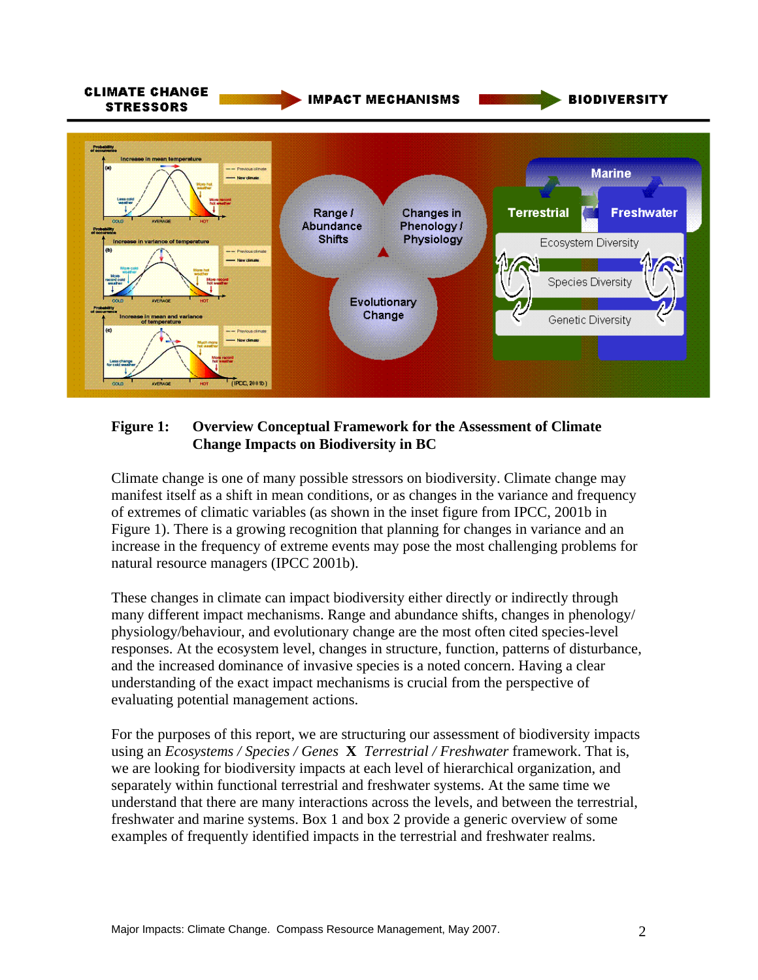

#### **Figure 1: Overview Conceptual Framework for the Assessment of Climate Change Impacts on Biodiversity in BC**

Climate change is one of many possible stressors on biodiversity. Climate change may manifest itself as a shift in mean conditions, or as changes in the variance and frequency of extremes of climatic variables (as shown in the inset figure from IPCC, 2001b in Figure 1). There is a growing recognition that planning for changes in variance and an increase in the frequency of extreme events may pose the most challenging problems for natural resource managers (IPCC 2001b).

These changes in climate can impact biodiversity either directly or indirectly through many different impact mechanisms. Range and abundance shifts, changes in phenology/ physiology/behaviour, and evolutionary change are the most often cited species-level responses. At the ecosystem level, changes in structure, function, patterns of disturbance, and the increased dominance of invasive species is a noted concern. Having a clear understanding of the exact impact mechanisms is crucial from the perspective of evaluating potential management actions.

For the purposes of this report, we are structuring our assessment of biodiversity impacts using an *Ecosystems / Species / Genes* **X** *Terrestrial / Freshwater* framework. That is, we are looking for biodiversity impacts at each level of hierarchical organization, and separately within functional terrestrial and freshwater systems. At the same time we understand that there are many interactions across the levels, and between the terrestrial, freshwater and marine systems. Box 1 and box 2 provide a generic overview of some examples of frequently identified impacts in the terrestrial and freshwater realms.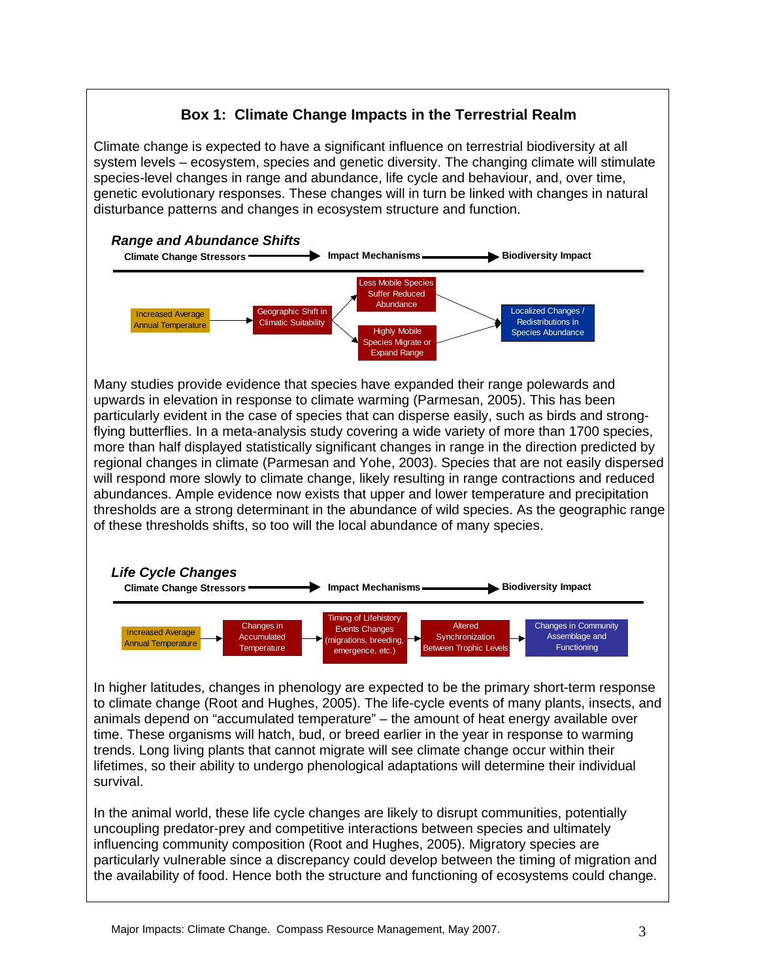

time. These organisms will hatch, bud, or breed earlier in the year in response to warming trends. Long living plants that cannot migrate will see climate change occur within their lifetimes, so their ability to undergo phenological adaptations will determine their individual survival.

In the animal world, these life cycle changes are likely to disrupt communities, potentially uncoupling predator-prey and competitive interactions between species and ultimately influencing community composition (Root and Hughes, 2005). Migratory species are particularly vulnerable since a discrepancy could develop between the timing of migration and the availability of food. Hence both the structure and functioning of ecosystems could change.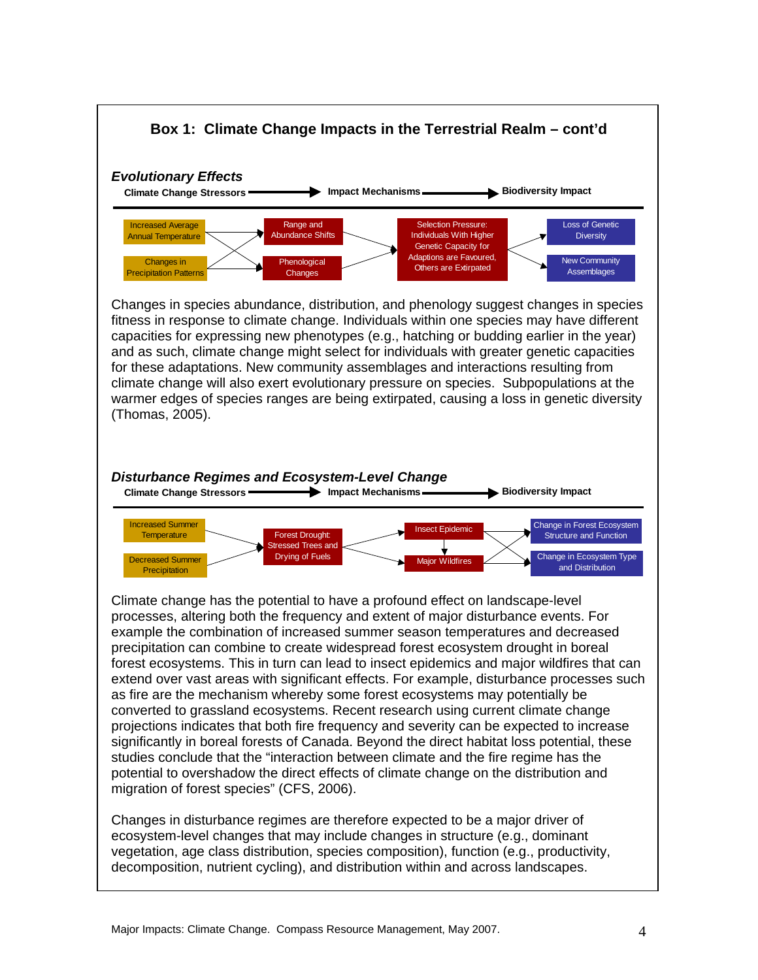

example the combination of increased summer season temperatures and decreased precipitation can combine to create widespread forest ecosystem drought in boreal forest ecosystems. This in turn can lead to insect epidemics and major wildfires that can extend over vast areas with significant effects. For example, disturbance processes such as fire are the mechanism whereby some forest ecosystems may potentially be converted to grassland ecosystems. Recent research using current climate change projections indicates that both fire frequency and severity can be expected to increase significantly in boreal forests of Canada. Beyond the direct habitat loss potential, these studies conclude that the "interaction between climate and the fire regime has the potential to overshadow the direct effects of climate change on the distribution and migration of forest species" (CFS, 2006).

Changes in disturbance regimes are therefore expected to be a major driver of ecosystem-level changes that may include changes in structure (e.g., dominant vegetation, age class distribution, species composition), function (e.g., productivity, decomposition, nutrient cycling), and distribution within and across landscapes.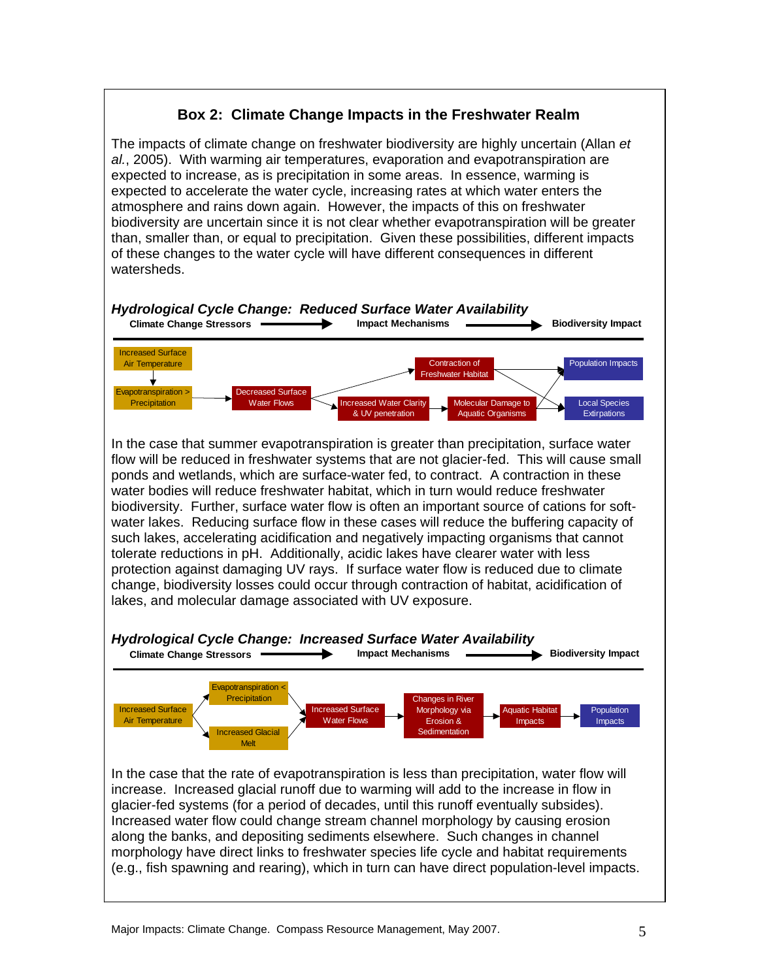### **Box 2: Climate Change Impacts in the Freshwater Realm**

The impacts of climate change on freshwater biodiversity are highly uncertain (Allan *et al.*, 2005). With warming air temperatures, evaporation and evapotranspiration are expected to increase, as is precipitation in some areas. In essence, warming is expected to accelerate the water cycle, increasing rates at which water enters the atmosphere and rains down again. However, the impacts of this on freshwater biodiversity are uncertain since it is not clear whether evapotranspiration will be greater than, smaller than, or equal to precipitation. Given these possibilities, different impacts of these changes to the water cycle will have different consequences in different watersheds.

# *Hydrological Cycle Change: Reduced Surface Water Availability*

![](_page_9_Figure_3.jpeg)

In the case that summer evapotranspiration is greater than precipitation, surface water flow will be reduced in freshwater systems that are not glacier-fed. This will cause small ponds and wetlands, which are surface-water fed, to contract. A contraction in these water bodies will reduce freshwater habitat, which in turn would reduce freshwater biodiversity. Further, surface water flow is often an important source of cations for softwater lakes. Reducing surface flow in these cases will reduce the buffering capacity of such lakes, accelerating acidification and negatively impacting organisms that cannot tolerate reductions in pH. Additionally, acidic lakes have clearer water with less protection against damaging UV rays. If surface water flow is reduced due to climate change, biodiversity losses could occur through contraction of habitat, acidification of lakes, and molecular damage associated with UV exposure.

# *Hydrological Cycle Change: Increased Surface Water Availability*

![](_page_9_Figure_6.jpeg)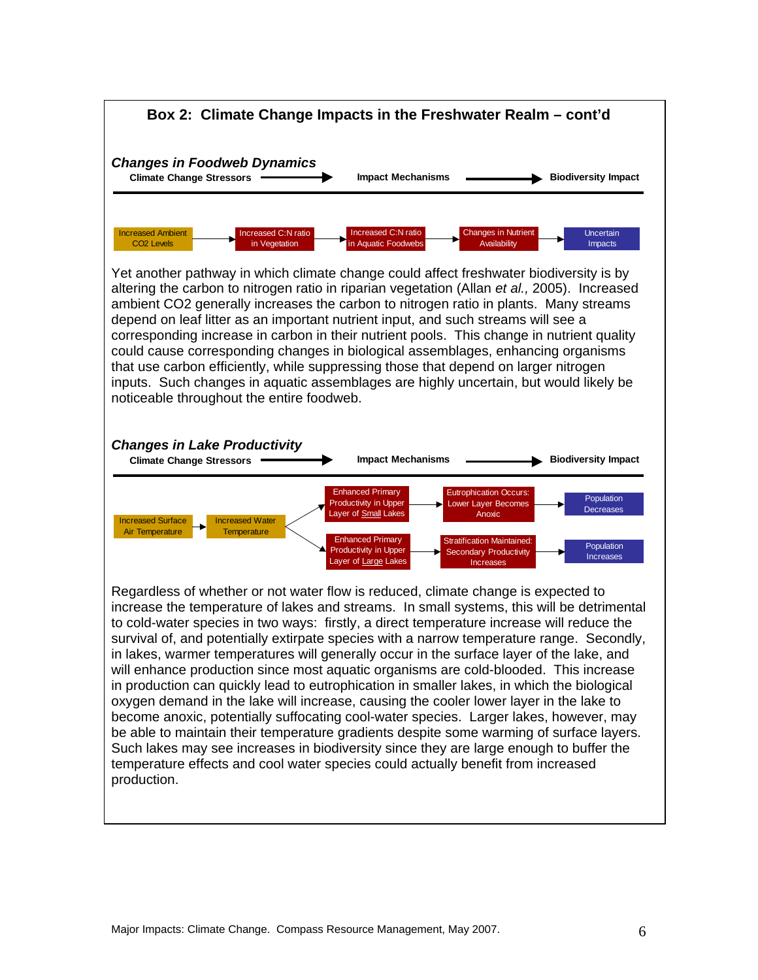![](_page_10_Figure_0.jpeg)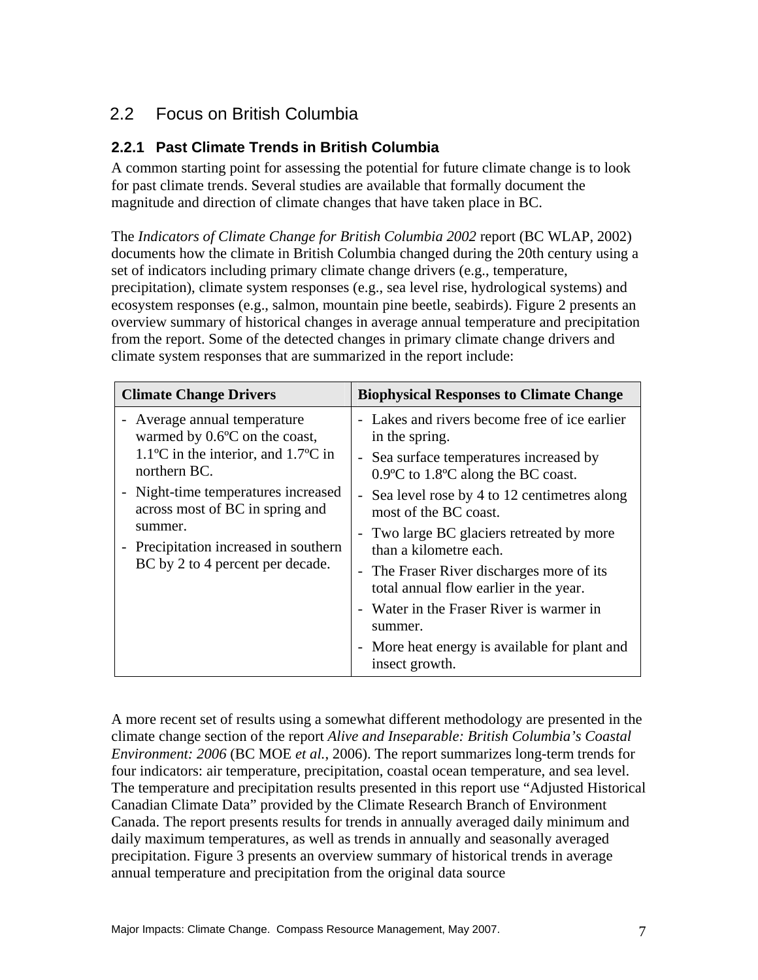# 2.2 Focus on British Columbia

### **2.2.1 Past Climate Trends in British Columbia**

A common starting point for assessing the potential for future climate change is to look for past climate trends. Several studies are available that formally document the magnitude and direction of climate changes that have taken place in BC.

The *Indicators of Climate Change for British Columbia 2002* report (BC WLAP, 2002) documents how the climate in British Columbia changed during the 20th century using a set of indicators including primary climate change drivers (e.g., temperature, precipitation), climate system responses (e.g., sea level rise, hydrological systems) and ecosystem responses (e.g., salmon, mountain pine beetle, seabirds). Figure 2 presents an overview summary of historical changes in average annual temperature and precipitation from the report. Some of the detected changes in primary climate change drivers and climate system responses that are summarized in the report include:

| <b>Climate Change Drivers</b>                                                                                                                                                                                                                                                                                                         | <b>Biophysical Responses to Climate Change</b>                                                                                                                                                                                                                                                                                                                                                                                                                                                                      |
|---------------------------------------------------------------------------------------------------------------------------------------------------------------------------------------------------------------------------------------------------------------------------------------------------------------------------------------|---------------------------------------------------------------------------------------------------------------------------------------------------------------------------------------------------------------------------------------------------------------------------------------------------------------------------------------------------------------------------------------------------------------------------------------------------------------------------------------------------------------------|
| - Average annual temperature<br>warmed by $0.6$ °C on the coast,<br>$1.1^{\circ}$ C in the interior, and $1.7^{\circ}$ C in<br>northern BC.<br>Night-time temperatures increased<br>across most of BC in spring and<br>summer.<br>Precipitation increased in southern<br>$\overline{\phantom{0}}$<br>BC by 2 to 4 percent per decade. | - Lakes and rivers become free of ice earlier<br>in the spring.<br>- Sea surface temperatures increased by<br>$0.9$ °C to 1.8°C along the BC coast.<br>- Sea level rose by 4 to 12 centimetres along<br>most of the BC coast.<br>- Two large BC glaciers retreated by more<br>than a kilometre each.<br>- The Fraser River discharges more of its<br>total annual flow earlier in the year.<br>- Water in the Fraser River is warmer in<br>summer.<br>More heat energy is available for plant and<br>insect growth. |

A more recent set of results using a somewhat different methodology are presented in the climate change section of the report *Alive and Inseparable: British Columbia's Coastal Environment: 2006* (BC MOE *et al.*, 2006). The report summarizes long-term trends for four indicators: air temperature, precipitation, coastal ocean temperature, and sea level. The temperature and precipitation results presented in this report use "Adjusted Historical Canadian Climate Data" provided by the Climate Research Branch of Environment Canada. The report presents results for trends in annually averaged daily minimum and daily maximum temperatures, as well as trends in annually and seasonally averaged precipitation. Figure 3 presents an overview summary of historical trends in average annual temperature and precipitation from the original data source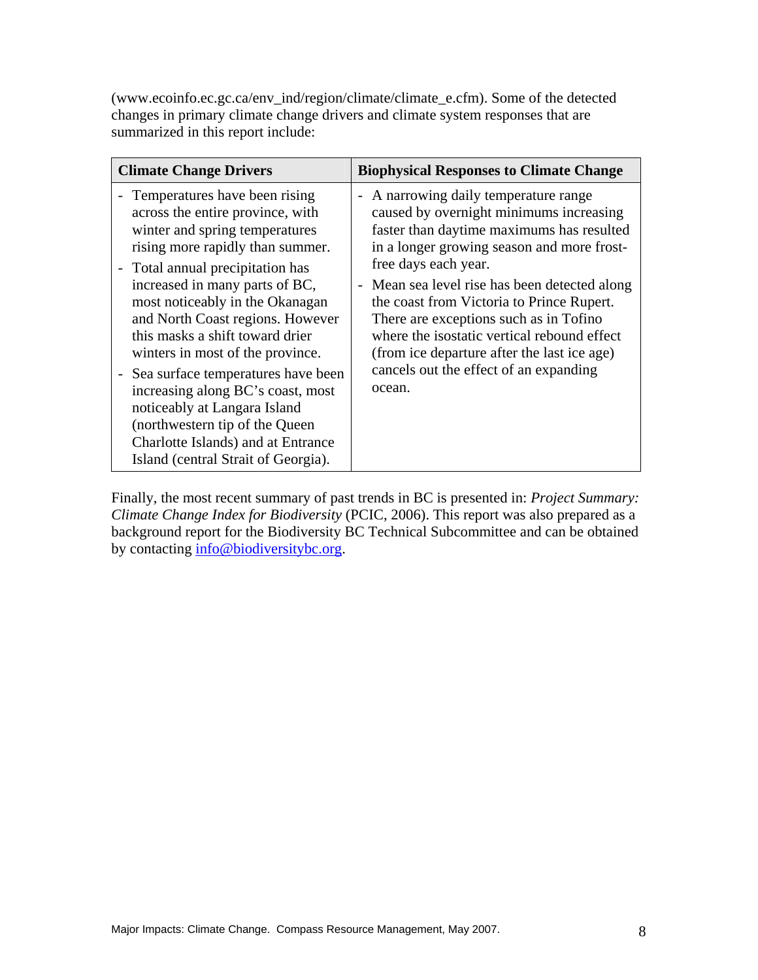(www.ecoinfo.ec.gc.ca/env\_ind/region/climate/climate\_e.cfm). Some of the detected changes in primary climate change drivers and climate system responses that are summarized in this report include:

| <b>Climate Change Drivers</b>                                                                                                                                                                                                                                                                                                                                                                                                                                                                                                                                                           | <b>Biophysical Responses to Climate Change</b>                                                                                                                                                                                                                                                                                                                                                                                                                                                                          |  |  |  |
|-----------------------------------------------------------------------------------------------------------------------------------------------------------------------------------------------------------------------------------------------------------------------------------------------------------------------------------------------------------------------------------------------------------------------------------------------------------------------------------------------------------------------------------------------------------------------------------------|-------------------------------------------------------------------------------------------------------------------------------------------------------------------------------------------------------------------------------------------------------------------------------------------------------------------------------------------------------------------------------------------------------------------------------------------------------------------------------------------------------------------------|--|--|--|
| Temperatures have been rising<br>across the entire province, with<br>winter and spring temperatures<br>rising more rapidly than summer.<br>- Total annual precipitation has<br>increased in many parts of BC,<br>most noticeably in the Okanagan<br>and North Coast regions. However<br>this masks a shift toward drier<br>winters in most of the province.<br>- Sea surface temperatures have been<br>increasing along BC's coast, most<br>noticeably at Langara Island<br>(northwestern tip of the Queen<br>Charlotte Islands) and at Entrance<br>Island (central Strait of Georgia). | A narrowing daily temperature range<br>$\overline{\phantom{a}}$<br>caused by overnight minimums increasing<br>faster than daytime maximums has resulted<br>in a longer growing season and more frost-<br>free days each year.<br>- Mean sea level rise has been detected along<br>the coast from Victoria to Prince Rupert.<br>There are exceptions such as in Tofino<br>where the isostatic vertical rebound effect<br>(from ice departure after the last ice age)<br>cancels out the effect of an expanding<br>ocean. |  |  |  |

Finally, the most recent summary of past trends in BC is presented in: *Project Summary: Climate Change Index for Biodiversity* (PCIC, 2006). This report was also prepared as a background report for the Biodiversity BC Technical Subcommittee and can be obtained by contacting info@biodiversitybc.org.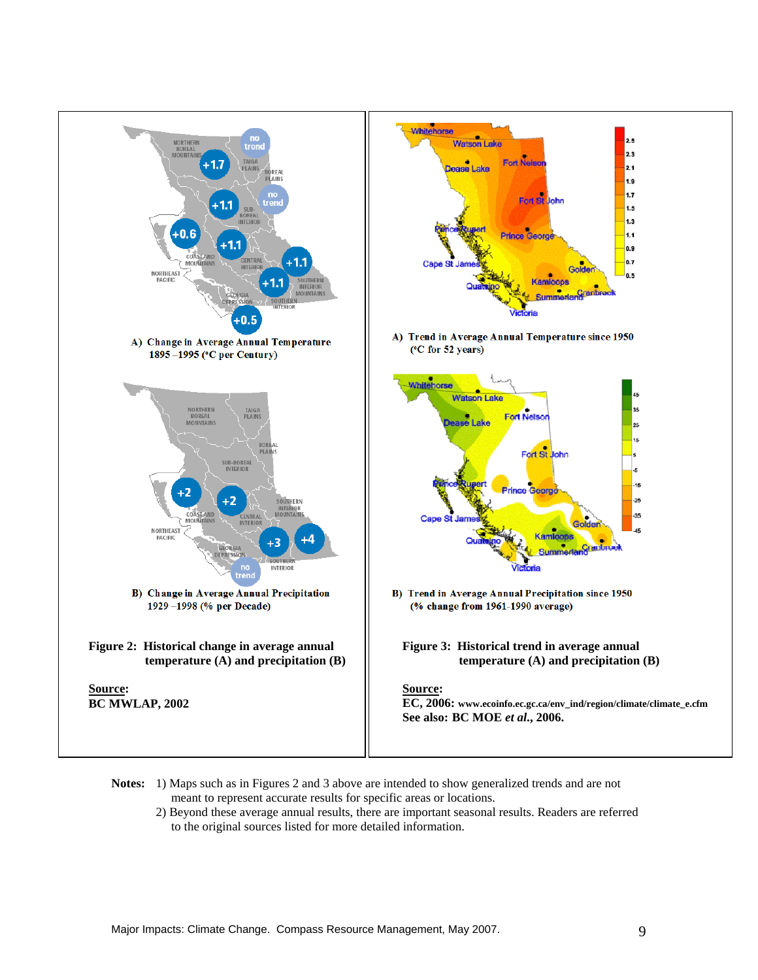![](_page_13_Figure_0.jpeg)

- **Notes:** 1) Maps such as in Figures 2 and 3 above are intended to show generalized trends and are not meant to represent accurate results for specific areas or locations.
	- 2) Beyond these average annual results, there are important seasonal results. Readers are referred to the original sources listed for more detailed information.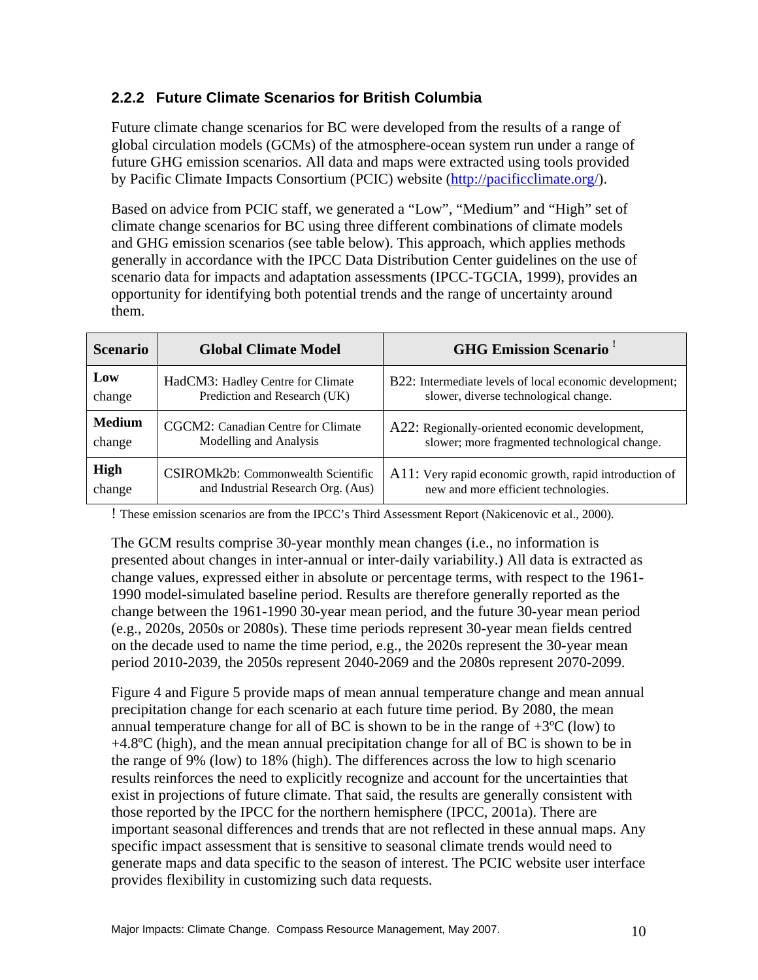### **2.2.2 Future Climate Scenarios for British Columbia**

Future climate change scenarios for BC were developed from the results of a range of global circulation models (GCMs) of the atmosphere-ocean system run under a range of future GHG emission scenarios. All data and maps were extracted using tools provided by Pacific Climate Impacts Consortium (PCIC) website (http://pacificclimate.org/).

Based on advice from PCIC staff, we generated a "Low", "Medium" and "High" set of climate change scenarios for BC using three different combinations of climate models and GHG emission scenarios (see table below). This approach, which applies methods generally in accordance with the IPCC Data Distribution Center guidelines on the use of scenario data for impacts and adaptation assessments (IPCC-TGCIA, 1999), provides an opportunity for identifying both potential trends and the range of uncertainty around them.

| <b>Scenario</b> | <b>Global Climate Model</b>        | <b>GHG Emission Scenario</b> <sup>1</sup>               |
|-----------------|------------------------------------|---------------------------------------------------------|
| Low             | HadCM3: Hadley Centre for Climate  | B22: Intermediate levels of local economic development; |
| change          | Prediction and Research (UK)       | slower, diverse technological change.                   |
| <b>Medium</b>   | CGCM2: Canadian Centre for Climate | A22: Regionally-oriented economic development,          |
| change          | Modelling and Analysis             | slower; more fragmented technological change.           |
| High            | CSIROMk2b: Commonwealth Scientific | A11: Very rapid economic growth, rapid introduction of  |
| change          | and Industrial Research Org. (Aus) | new and more efficient technologies.                    |

! These emission scenarios are from the IPCC's Third Assessment Report (Nakicenovic et al., 2000).

The GCM results comprise 30-year monthly mean changes (i.e., no information is presented about changes in inter-annual or inter-daily variability.) All data is extracted as change values, expressed either in absolute or percentage terms, with respect to the 1961- 1990 model-simulated baseline period. Results are therefore generally reported as the change between the 1961-1990 30-year mean period, and the future 30-year mean period (e.g., 2020s, 2050s or 2080s). These time periods represent 30-year mean fields centred on the decade used to name the time period, e.g., the 2020s represent the 30-year mean period 2010-2039, the 2050s represent 2040-2069 and the 2080s represent 2070-2099.

Figure 4 and Figure 5 provide maps of mean annual temperature change and mean annual precipitation change for each scenario at each future time period. By 2080, the mean annual temperature change for all of BC is shown to be in the range of  $+3^{\circ}C$  (low) to +4.8ºC (high), and the mean annual precipitation change for all of BC is shown to be in the range of 9% (low) to 18% (high). The differences across the low to high scenario results reinforces the need to explicitly recognize and account for the uncertainties that exist in projections of future climate. That said, the results are generally consistent with those reported by the IPCC for the northern hemisphere (IPCC, 2001a). There are important seasonal differences and trends that are not reflected in these annual maps. Any specific impact assessment that is sensitive to seasonal climate trends would need to generate maps and data specific to the season of interest. The PCIC website user interface provides flexibility in customizing such data requests.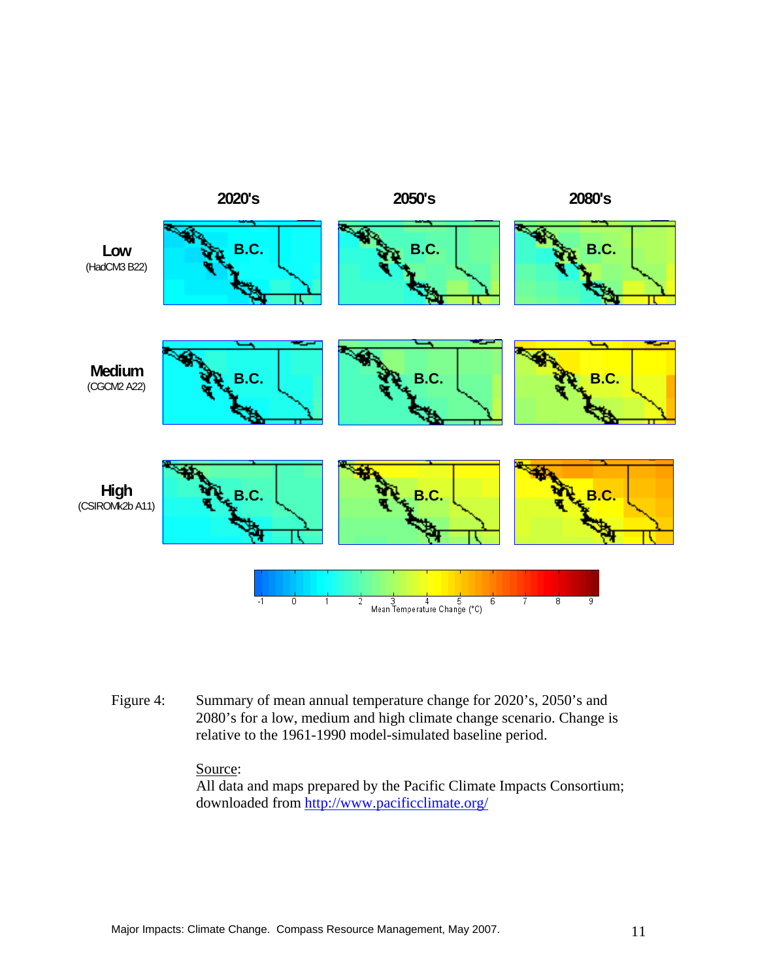![](_page_15_Figure_0.jpeg)

Figure 4: Summary of mean annual temperature change for 2020's, 2050's and 2080's for a low, medium and high climate change scenario. Change is relative to the 1961-1990 model-simulated baseline period.

#### Source:

All data and maps prepared by the Pacific Climate Impacts Consortium; downloaded from http://www.pacificclimate.org/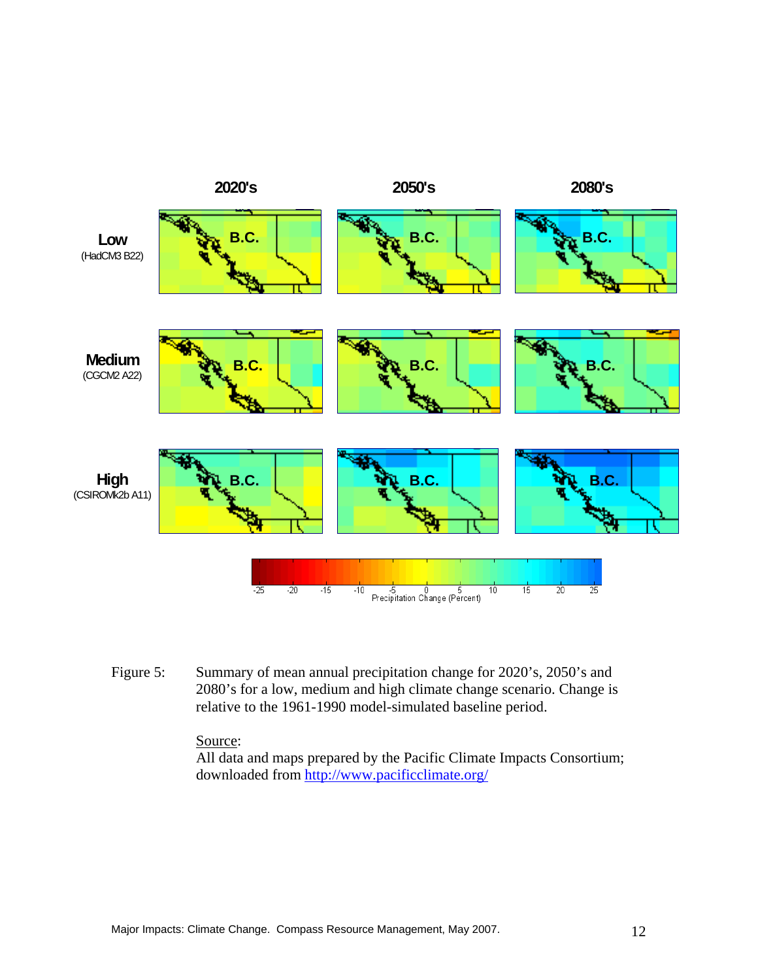![](_page_16_Figure_0.jpeg)

Figure 5: Summary of mean annual precipitation change for 2020's, 2050's and 2080's for a low, medium and high climate change scenario. Change is relative to the 1961-1990 model-simulated baseline period.

#### Source:

All data and maps prepared by the Pacific Climate Impacts Consortium; downloaded from http://www.pacificclimate.org/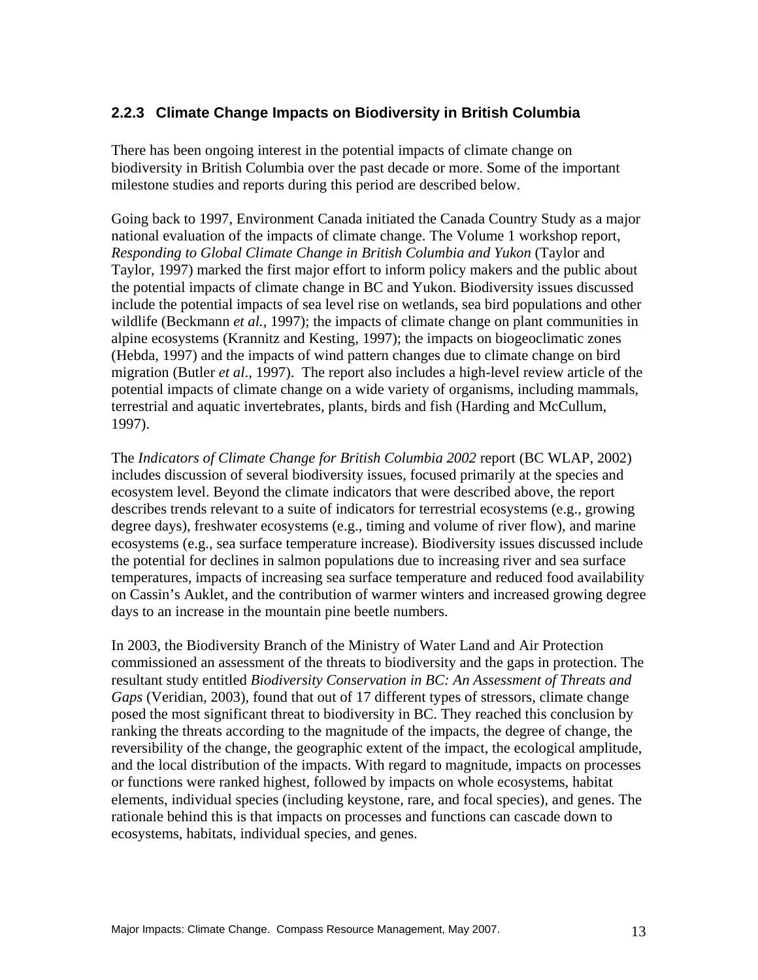#### **2.2.3 Climate Change Impacts on Biodiversity in British Columbia**

There has been ongoing interest in the potential impacts of climate change on biodiversity in British Columbia over the past decade or more. Some of the important milestone studies and reports during this period are described below.

Going back to 1997, Environment Canada initiated the Canada Country Study as a major national evaluation of the impacts of climate change. The Volume 1 workshop report, *Responding to Global Climate Change in British Columbia and Yukon* (Taylor and Taylor, 1997) marked the first major effort to inform policy makers and the public about the potential impacts of climate change in BC and Yukon. Biodiversity issues discussed include the potential impacts of sea level rise on wetlands, sea bird populations and other wildlife (Beckmann *et al.,* 1997); the impacts of climate change on plant communities in alpine ecosystems (Krannitz and Kesting, 1997); the impacts on biogeoclimatic zones (Hebda, 1997) and the impacts of wind pattern changes due to climate change on bird migration (Butler *et al*., 1997). The report also includes a high-level review article of the potential impacts of climate change on a wide variety of organisms, including mammals, terrestrial and aquatic invertebrates, plants, birds and fish (Harding and McCullum, 1997).

The *Indicators of Climate Change for British Columbia 2002* report (BC WLAP, 2002) includes discussion of several biodiversity issues, focused primarily at the species and ecosystem level. Beyond the climate indicators that were described above, the report describes trends relevant to a suite of indicators for terrestrial ecosystems (e.g., growing degree days), freshwater ecosystems (e.g., timing and volume of river flow), and marine ecosystems (e.g., sea surface temperature increase). Biodiversity issues discussed include the potential for declines in salmon populations due to increasing river and sea surface temperatures, impacts of increasing sea surface temperature and reduced food availability on Cassin's Auklet, and the contribution of warmer winters and increased growing degree days to an increase in the mountain pine beetle numbers.

In 2003, the Biodiversity Branch of the Ministry of Water Land and Air Protection commissioned an assessment of the threats to biodiversity and the gaps in protection. The resultant study entitled *Biodiversity Conservation in BC: An Assessment of Threats and Gaps* (Veridian, 2003), found that out of 17 different types of stressors, climate change posed the most significant threat to biodiversity in BC. They reached this conclusion by ranking the threats according to the magnitude of the impacts, the degree of change, the reversibility of the change, the geographic extent of the impact, the ecological amplitude, and the local distribution of the impacts. With regard to magnitude, impacts on processes or functions were ranked highest, followed by impacts on whole ecosystems, habitat elements, individual species (including keystone, rare, and focal species), and genes. The rationale behind this is that impacts on processes and functions can cascade down to ecosystems, habitats, individual species, and genes.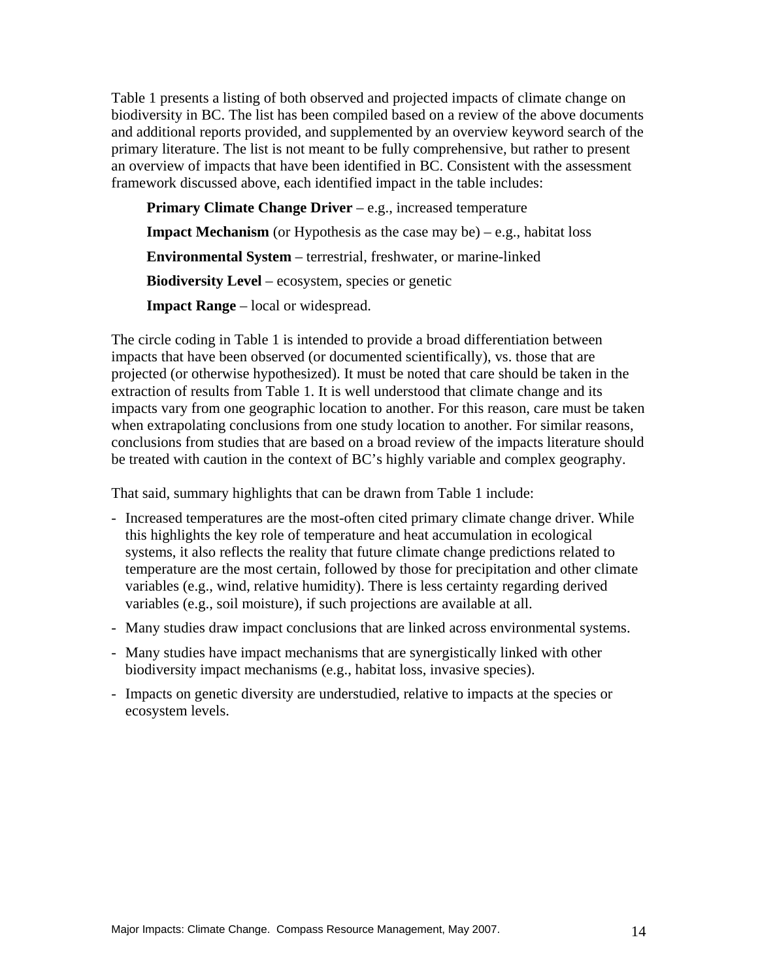Table 1 presents a listing of both observed and projected impacts of climate change on biodiversity in BC. The list has been compiled based on a review of the above documents and additional reports provided, and supplemented by an overview keyword search of the primary literature. The list is not meant to be fully comprehensive, but rather to present an overview of impacts that have been identified in BC. Consistent with the assessment framework discussed above, each identified impact in the table includes:

**Primary Climate Change Driver** – e.g., increased temperature **Impact Mechanism** (or Hypothesis as the case may be)  $-e.g.,$  habitat loss **Environmental System** – terrestrial, freshwater, or marine-linked **Biodiversity Level** – ecosystem, species or genetic **Impact Range** – local or widespread.

The circle coding in Table 1 is intended to provide a broad differentiation between impacts that have been observed (or documented scientifically), vs. those that are projected (or otherwise hypothesized). It must be noted that care should be taken in the extraction of results from Table 1. It is well understood that climate change and its impacts vary from one geographic location to another. For this reason, care must be taken when extrapolating conclusions from one study location to another. For similar reasons, conclusions from studies that are based on a broad review of the impacts literature should be treated with caution in the context of BC's highly variable and complex geography.

That said, summary highlights that can be drawn from Table 1 include:

- Increased temperatures are the most-often cited primary climate change driver. While this highlights the key role of temperature and heat accumulation in ecological systems, it also reflects the reality that future climate change predictions related to temperature are the most certain, followed by those for precipitation and other climate variables (e.g., wind, relative humidity). There is less certainty regarding derived variables (e.g., soil moisture), if such projections are available at all.
- Many studies draw impact conclusions that are linked across environmental systems.
- Many studies have impact mechanisms that are synergistically linked with other biodiversity impact mechanisms (e.g., habitat loss, invasive species).
- Impacts on genetic diversity are understudied, relative to impacts at the species or ecosystem levels.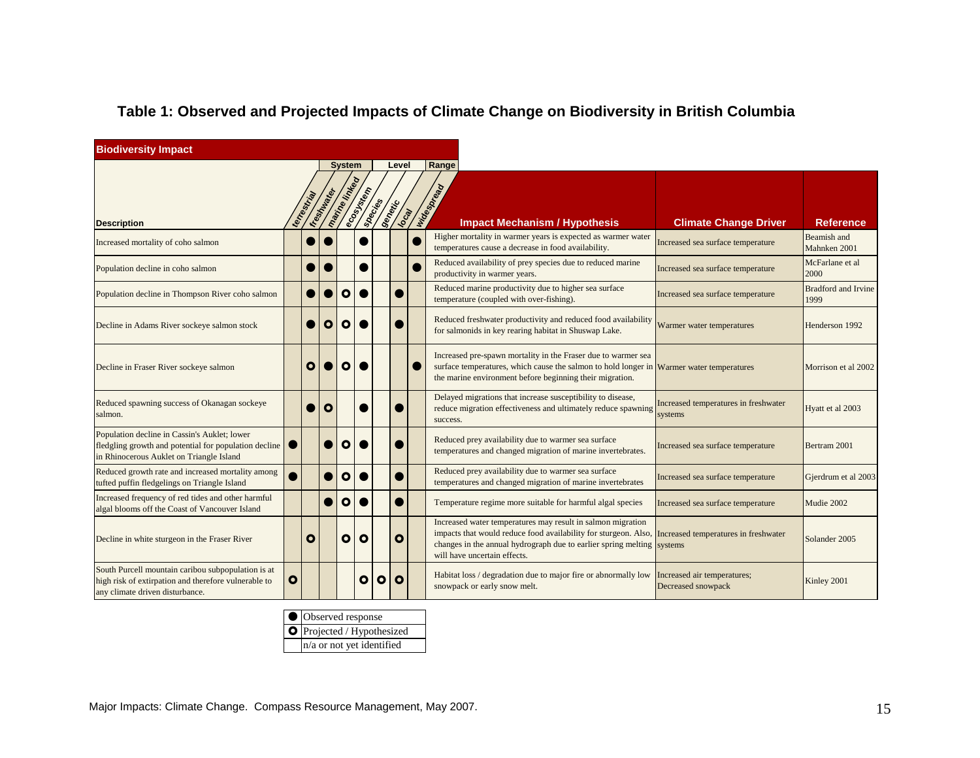| <b>Biodiversity Impact</b>                                                                                                                        |           |             |                   |                 |              |            |         |              |                                                                                                                                                                                                                                          |                                                   |                                    |
|---------------------------------------------------------------------------------------------------------------------------------------------------|-----------|-------------|-------------------|-----------------|--------------|------------|---------|--------------|------------------------------------------------------------------------------------------------------------------------------------------------------------------------------------------------------------------------------------------|---------------------------------------------------|------------------------------------|
|                                                                                                                                                   |           |             |                   | <b>System</b>   |              |            | Level   |              | Range                                                                                                                                                                                                                                    |                                                   |                                    |
| <b>Description</b>                                                                                                                                |           | terreetries | IF GOST MANY ROCK | marine Injusted | ecosition of | Society of | Senetic | <b>Local</b> | Wridesbyeg<br><b>Impact Mechanism / Hypothesis</b>                                                                                                                                                                                       | <b>Climate Change Driver</b>                      | <b>Reference</b>                   |
| Increased mortality of coho salmon                                                                                                                |           |             |                   |                 |              |            |         |              | Higher mortality in warmer years is expected as warmer water<br>temperatures cause a decrease in food availability.                                                                                                                      | Increased sea surface temperature                 | Beamish and<br>Mahnken 2001        |
| Population decline in coho salmon                                                                                                                 |           |             |                   |                 |              |            |         |              | Reduced availability of prey species due to reduced marine<br>productivity in warmer years.                                                                                                                                              | Increased sea surface temperature                 | McFarlane et al<br>2000            |
| Population decline in Thompson River coho salmon                                                                                                  |           |             |                   | $\mathbf{o}$    |              |            |         |              | Reduced marine productivity due to higher sea surface<br>temperature (coupled with over-fishing).                                                                                                                                        | Increased sea surface temperature                 | <b>Bradford and Irvine</b><br>1999 |
| Decline in Adams River sockeye salmon stock                                                                                                       |           |             | O                 | $\circ$         |              |            |         |              | Reduced freshwater productivity and reduced food availability<br>for salmonids in key rearing habitat in Shuswap Lake.                                                                                                                   | Warmer water temperatures                         | Henderson 1992                     |
| Decline in Fraser River sockeye salmon                                                                                                            |           | O           |                   | $\bullet$       |              |            |         |              | Increased pre-spawn mortality in the Fraser due to warmer sea<br>surface temperatures, which cause the salmon to hold longer in Warmer water temperatures<br>the marine environment before beginning their migration.                    |                                                   | Morrison et al 2002                |
| Reduced spawning success of Okanagan sockeye<br>salmon.                                                                                           |           |             | $\circ$           |                 |              |            |         |              | Delayed migrations that increase susceptibility to disease,<br>reduce migration effectiveness and ultimately reduce spawning<br>success.                                                                                                 | Increased temperatures in freshwater<br>systems   | Hyatt et al 2003                   |
| Population decline in Cassin's Auklet; lower<br>fledgling growth and potential for population decline<br>in Rhinocerous Auklet on Triangle Island |           |             |                   | $\mathbf{o}$    |              |            |         |              | Reduced prey availability due to warmer sea surface<br>temperatures and changed migration of marine invertebrates.                                                                                                                       | Increased sea surface temperature                 | Bertram 2001                       |
| Reduced growth rate and increased mortality among<br>tufted puffin fledgelings on Triangle Island                                                 |           |             |                   | $\mathbf{o}$    |              |            |         |              | Reduced prey availability due to warmer sea surface<br>temperatures and changed migration of marine invertebrates                                                                                                                        | Increased sea surface temperature                 | Gjerdrum et al 2003                |
| Increased frequency of red tides and other harmful<br>algal blooms off the Coast of Vancouver Island                                              |           |             |                   | $\bullet$       |              |            |         |              | Temperature regime more suitable for harmful algal species                                                                                                                                                                               | Increased sea surface temperature                 | Mudie 2002                         |
| Decline in white sturgeon in the Fraser River                                                                                                     |           | O           |                   | $\bullet$       | $\Omega$     |            | Ο       |              | Increased water temperatures may result in salmon migration<br>impacts that would reduce food availability for sturgeon. Also,<br>changes in the annual hydrograph due to earlier spring melting systems<br>will have uncertain effects. | Increased temperatures in freshwater              | Solander 2005                      |
| South Purcell mountain caribou subpopulation is at<br>high risk of extirpation and therefore vulnerable to<br>any climate driven disturbance.     | $\bullet$ |             |                   |                 | $\mathbf{o}$ | $\circ$    | O       |              | Habitat loss / degradation due to major fire or abnormally low<br>snowpack or early snow melt.                                                                                                                                           | Increased air temperatures;<br>Decreased snowpack | Kinley 2001                        |

| Observed response          |
|----------------------------|
| O Projected / Hypothesized |
| n/a or not yet identified  |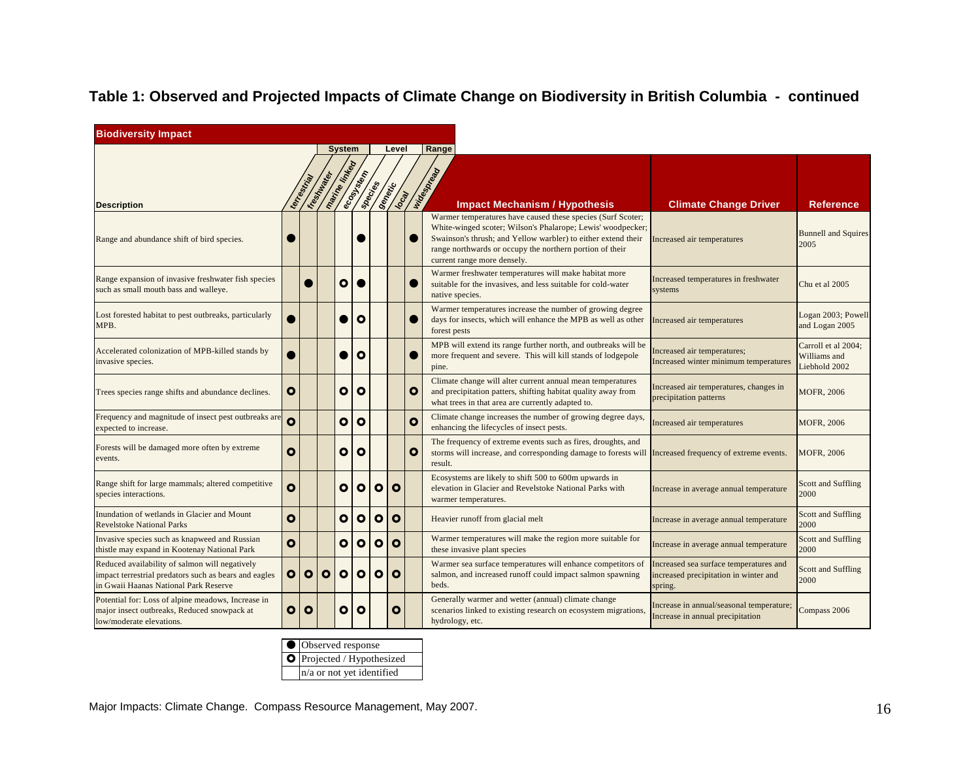| <b>Biodiversity Impact</b>                                                                                                                       |           |             |           |               |              |                |              |              |                                                                                                                                                                                                                                                                                        |                                                                                            |                                                      |
|--------------------------------------------------------------------------------------------------------------------------------------------------|-----------|-------------|-----------|---------------|--------------|----------------|--------------|--------------|----------------------------------------------------------------------------------------------------------------------------------------------------------------------------------------------------------------------------------------------------------------------------------------|--------------------------------------------------------------------------------------------|------------------------------------------------------|
|                                                                                                                                                  |           |             |           | <b>System</b> |              |                | Level        |              | Range                                                                                                                                                                                                                                                                                  |                                                                                            |                                                      |
| <b>Description</b>                                                                                                                               |           | terrestrial | Irest Mag | marine linked | ecosystem    | <b>Secrits</b> | Series Ca    |              | Note of Ortal<br><b>Impact Mechanism / Hypothesis</b>                                                                                                                                                                                                                                  | <b>Climate Change Driver</b>                                                               | <b>Reference</b>                                     |
| Range and abundance shift of bird species.                                                                                                       |           |             |           |               |              |                |              |              | Warmer temperatures have caused these species (Surf Scoter;<br>White-winged scoter; Wilson's Phalarope; Lewis' woodpecker;<br>Swainson's thrush; and Yellow warbler) to either extend their<br>range northwards or occupy the northern portion of their<br>current range more densely. | Increased air temperatures                                                                 | <b>Bunnell and Squires</b><br>2005                   |
| Range expansion of invasive freshwater fish species<br>such as small mouth bass and walleye.                                                     |           |             |           | $\bullet$     |              |                |              |              | Warmer freshwater temperatures will make habitat more<br>suitable for the invasives, and less suitable for cold-water<br>native species.                                                                                                                                               | Increased temperatures in freshwater<br>systems                                            | Chu et al 2005                                       |
| Lost forested habitat to pest outbreaks, particularly<br>MPB.                                                                                    |           |             |           |               | $\mathbf{o}$ |                |              |              | Warmer temperatures increase the number of growing degree<br>days for insects, which will enhance the MPB as well as other<br>forest pests                                                                                                                                             | Increased air temperatures                                                                 | Logan 2003; Powell<br>and Logan 2005                 |
| Accelerated colonization of MPB-killed stands by<br>invasive species.                                                                            |           |             |           |               | $\circ$      |                |              |              | MPB will extend its range further north, and outbreaks will be<br>more frequent and severe. This will kill stands of lodgepole<br>pine.                                                                                                                                                | Increased air temperatures;<br>Increased winter minimum temperatures                       | Carroll et al 2004:<br>Williams and<br>Liebhold 2002 |
| Trees species range shifts and abundance declines.                                                                                               | o         |             |           | o             | $\mathbf o$  |                |              | $\bullet$    | Climate change will alter current annual mean temperatures<br>and precipitation patters, shifting habitat quality away from<br>what trees in that area are currently adapted to.                                                                                                       | Increased air temperatures, changes in<br>precipitation patterns                           | <b>MOFR, 2006</b>                                    |
| Frequency and magnitude of insect pest outbreaks are<br>expected to increase.                                                                    | Ō         |             |           | $\bullet$     | $\circ$      |                |              | $\mathbf{o}$ | Climate change increases the number of growing degree days,<br>enhancing the lifecycles of insect pests.                                                                                                                                                                               | Increased air temperatures                                                                 | MOFR, 2006                                           |
| Forests will be damaged more often by extreme<br>events.                                                                                         | ο         |             |           | ο             | $\mathbf{o}$ |                |              | $\bullet$    | The frequency of extreme events such as fires, droughts, and<br>storms will increase, and corresponding damage to forests will Increased frequency of extreme events.<br>result.                                                                                                       |                                                                                            | <b>MOFR, 2006</b>                                    |
| Range shift for large mammals; altered competitive<br>species interactions.                                                                      | O         |             |           | $\bullet$     | $\bullet$    | $\circ$        | $\circ$      |              | Ecosystems are likely to shift 500 to 600m upwards in<br>elevation in Glacier and Revelstoke National Parks with<br>warmer temperatures.                                                                                                                                               | Increase in average annual temperature                                                     | <b>Scott and Suffling</b><br>2000                    |
| Inundation of wetlands in Glacier and Mount<br><b>Revelstoke National Parks</b>                                                                  | ο         |             |           | ο             | $\bullet$    | $\mathbf{o}$   | $\mathbf{o}$ |              | Heavier runoff from glacial melt                                                                                                                                                                                                                                                       | Increase in average annual temperature                                                     | Scott and Suffling<br>2000                           |
| Invasive species such as knapweed and Russian<br>thistle may expand in Kootenay National Park                                                    | Ō         |             |           | $\bullet$     | $\bullet$    | $\bullet$      | $\bullet$    |              | Warmer temperatures will make the region more suitable for<br>these invasive plant species                                                                                                                                                                                             | Increase in average annual temperature                                                     | <b>Scott and Suffling</b><br>2000                    |
| Reduced availability of salmon will negatively<br>impact terrestrial predators such as bears and eagles<br>in Gwaii Haanas National Park Reserve | $\bullet$ | $\circ$     | $\circ$   | $\bullet$     | $\bullet$    | $\bullet$      | $\mathbf{o}$ |              | Warmer sea surface temperatures will enhance competitors of<br>salmon, and increased runoff could impact salmon spawning<br>beds.                                                                                                                                                      | Increased sea surface temperatures and<br>increased precipitation in winter and<br>spring. | Scott and Suffling<br>2000                           |
| Potential for: Loss of alpine meadows, Increase in<br>major insect outbreaks, Reduced snowpack at<br>low/moderate elevations.                    | $\bullet$ | $\bullet$   |           | O             | $\bullet$    |                | $\mathbf{o}$ |              | Generally warmer and wetter (annual) climate change<br>scenarios linked to existing research on ecosystem migrations,<br>hydrology, etc.                                                                                                                                               | Increase in annual/seasonal temperature;<br>Increase in annual precipitation               | Compass 2006                                         |

| Observed response           |
|-----------------------------|
| O Projected / Hypothesized  |
| $n/a$ or not yet identified |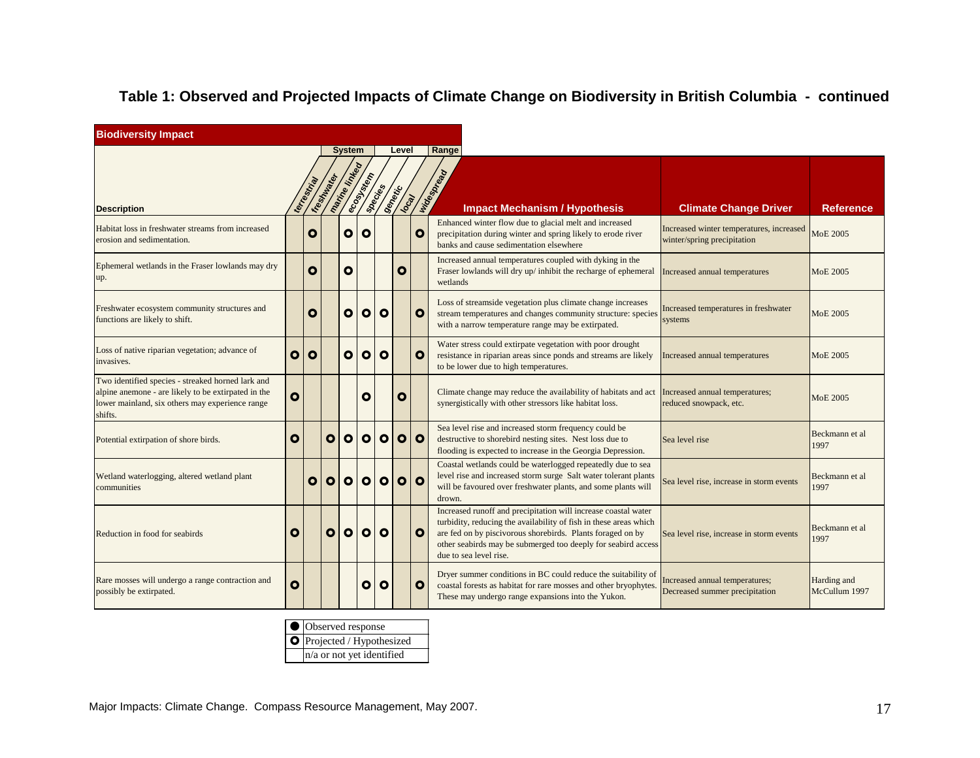| <b>Biodiversity Impact</b>                                                                                                                                             |              |              |              |                      |              |                |                   |              |                                                                                                                                                                                                                                                                                              |                                                                         |                              |
|------------------------------------------------------------------------------------------------------------------------------------------------------------------------|--------------|--------------|--------------|----------------------|--------------|----------------|-------------------|--------------|----------------------------------------------------------------------------------------------------------------------------------------------------------------------------------------------------------------------------------------------------------------------------------------------|-------------------------------------------------------------------------|------------------------------|
|                                                                                                                                                                        |              |              |              | <b>System</b>        |              |                | Level             |              | Range                                                                                                                                                                                                                                                                                        |                                                                         |                              |
| <b>Description</b>                                                                                                                                                     |              | terrestrial  | IFE STANDARD | marrine Kripted      | ecosystem    | <b>Species</b> | Senettic<br>local |              | Integrated<br><b>Impact Mechanism / Hypothesis</b>                                                                                                                                                                                                                                           | <b>Climate Change Driver</b>                                            | <b>Reference</b>             |
| Habitat loss in freshwater streams from increased<br>erosion and sedimentation.                                                                                        |              | $\mathbf{o}$ |              | $\mathbf{o}$         | O            |                |                   | $\mathbf{o}$ | Enhanced winter flow due to glacial melt and increased<br>precipitation during winter and spring likely to erode river<br>banks and cause sedimentation elsewhere                                                                                                                            | Increased winter temperatures, increased<br>winter/spring precipitation | MoE 2005                     |
| Ephemeral wetlands in the Fraser lowlands may dry<br>up.                                                                                                               |              | $\bullet$    |              | O                    |              |                | O                 |              | Increased annual temperatures coupled with dyking in the<br>Fraser lowlands will dry up/ inhibit the recharge of ephemeral<br>wetlands                                                                                                                                                       | Increased annual temperatures                                           | <b>MoE 2005</b>              |
| Freshwater ecosystem community structures and<br>functions are likely to shift.                                                                                        |              | $\mathbf{o}$ |              | $\bullet$            | $\mathbf{o}$ | $\mathbf{o}$   |                   | $\mathbf{o}$ | Loss of streamside vegetation plus climate change increases<br>stream temperatures and changes community structure: species<br>with a narrow temperature range may be extirpated.                                                                                                            | Increased temperatures in freshwater<br>systems                         | <b>MoE 2005</b>              |
| Loss of native riparian vegetation; advance of<br>invasives.                                                                                                           | O            | O            |              | $\bullet$            | $\mathbf{o}$ | $\mathbf{o}$   |                   | $\bullet$    | Water stress could extirpate vegetation with poor drought<br>resistance in riparian areas since ponds and streams are likely<br>to be lower due to high temperatures.                                                                                                                        | Increased annual temperatures                                           | <b>MoE 2005</b>              |
| Two identified species - streaked horned lark and<br>alpine anemone - are likely to be extirpated in the<br>lower mainland, six others may experience range<br>shifts. | $\mathbf{o}$ |              |              |                      | O            |                | O                 |              | Climate change may reduce the availability of habitats and act Increased annual temperatures;<br>synergistically with other stressors like habitat loss.                                                                                                                                     | reduced snowpack, etc.                                                  | MoE 2005                     |
| Potential extirpation of shore birds.                                                                                                                                  | $\mathbf{o}$ |              | O            | $\bullet$            | $\circ$      | $\circ$        | $\bullet$         | $\circ$      | Sea level rise and increased storm frequency could be<br>destructive to shorebird nesting sites. Nest loss due to<br>flooding is expected to increase in the Georgia Depression.                                                                                                             | Sea level rise                                                          | Beckmann et al<br>1997       |
| Wetland waterlogging, altered wetland plant<br>communities                                                                                                             |              | $\bullet$    | $\mathbf{o}$ | $\overline{\bullet}$ | $\bullet$    | $\bullet$      | $\bullet$         | $\circ$      | Coastal wetlands could be waterlogged repeatedly due to sea<br>level rise and increased storm surge Salt water tolerant plants<br>will be favoured over freshwater plants, and some plants will<br>drown.                                                                                    | Sea level rise, increase in storm events                                | Beckmann et al<br>1997       |
| Reduction in food for seabirds                                                                                                                                         | O            |              | O            | $\bullet$            | $\circ$      | $\mathbf{o}$   |                   | $\mathbf{o}$ | Increased runoff and precipitation will increase coastal water<br>turbidity, reducing the availability of fish in these areas which<br>are fed on by piscivorous shorebirds. Plants foraged on by<br>other seabirds may be submerged too deeply for seabird access<br>due to sea level rise. | Sea level rise, increase in storm events                                | Beckmann et al<br>1997       |
| Rare mosses will undergo a range contraction and<br>possibly be extirpated.                                                                                            | $\mathbf{o}$ |              |              |                      | O            | $\mathbf{o}$   |                   | $\mathbf{o}$ | Dryer summer conditions in BC could reduce the suitability of<br>coastal forests as habitat for rare mosses and other bryophytes.<br>These may undergo range expansions into the Yukon.                                                                                                      | Increased annual temperatures;<br>Decreased summer precipitation        | Harding and<br>McCullum 1997 |

| ● Observed response               |
|-----------------------------------|
| <b>O</b> Projected / Hypothesized |
| $n/a$ or not yet identified       |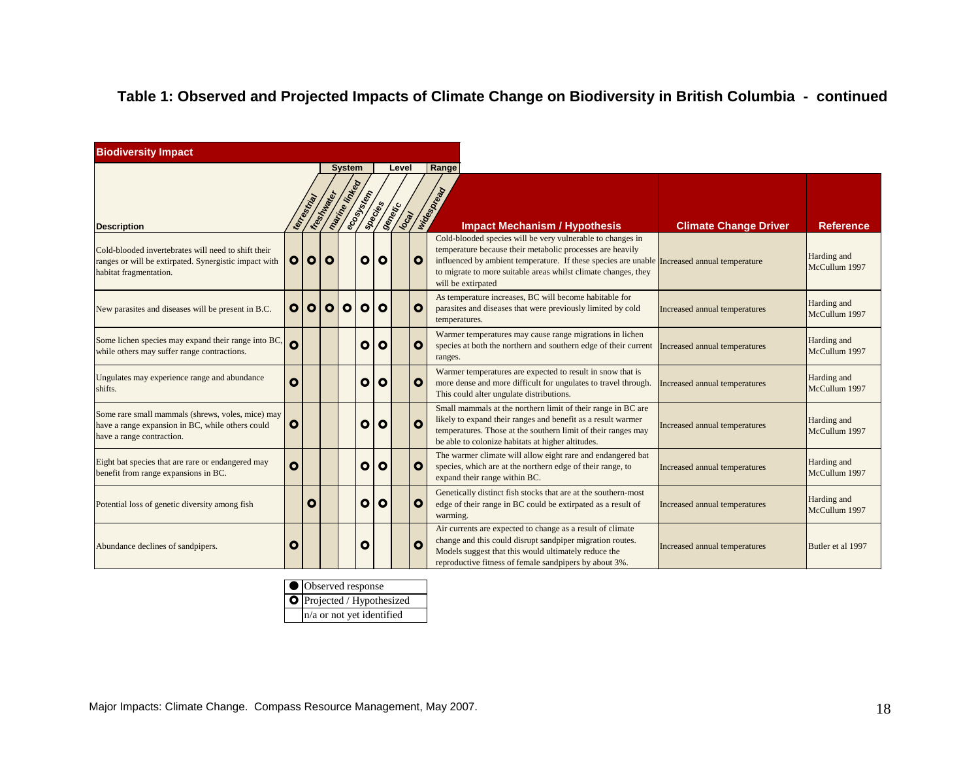| <b>Biodiversity Impact</b>                                                                                                             |              |              |             |                      |              |              |       |              |                                                                                                                                                                                                                                                                                                                |                               |                              |
|----------------------------------------------------------------------------------------------------------------------------------------|--------------|--------------|-------------|----------------------|--------------|--------------|-------|--------------|----------------------------------------------------------------------------------------------------------------------------------------------------------------------------------------------------------------------------------------------------------------------------------------------------------------|-------------------------------|------------------------------|
|                                                                                                                                        |              |              |             | <b>System</b>        |              |              | Level |              | Range                                                                                                                                                                                                                                                                                                          |                               |                              |
| <b>Description</b>                                                                                                                     |              | terresorting | Ire Sh Maps | <b>Marine Kinkey</b> |              |              |       |              | <b>A SEARCH AND SEARCH SEARCH START SEARCH SEARCH SEARCH SEARCH SEARCH SEARCH SEARCH SEARCH SEARCH SEARCH SEARCH</b><br>SEARCH SEARCH SEARCH SEARCH SEARCH SEARCH SEARCH SEARCH SEARCH SEARCH SEARCH SEARCH SEARCH SEARCH SEARCH SEARC<br><b>Impact Mechanism / Hypothesis</b>                                 | <b>Climate Change Driver</b>  | <b>Reference</b>             |
| Cold-blooded invertebrates will need to shift their<br>ranges or will be extirpated. Synergistic impact with<br>habitat fragmentation. | $\mathbf{o}$ | $\bullet$    | <b>0</b>    |                      | $\bullet$    | $\bullet$    |       | $\mathbf{o}$ | Cold-blooded species will be very vulnerable to changes in<br>temperature because their metabolic processes are heavily<br>influenced by ambient temperature. If these species are unable Increased annual temperature<br>to migrate to more suitable areas whilst climate changes, they<br>will be extirpated |                               | Harding and<br>McCullum 1997 |
| New parasites and diseases will be present in B.C.                                                                                     | $\mathbf{o}$ | $\bullet$    | <b>O</b>    | $\bullet$            | $\bullet$    | $\circ$      |       | $\mathbf{o}$ | As temperature increases, BC will become habitable for<br>parasites and diseases that were previously limited by cold<br>temperatures.                                                                                                                                                                         | Increased annual temperatures | Harding and<br>McCullum 1997 |
| Some lichen species may expand their range into BC,<br>while others may suffer range contractions.                                     | O            |              |             |                      | $\bullet$    | $\mathbf{o}$ |       | O            | Warmer temperatures may cause range migrations in lichen<br>species at both the northern and southern edge of their current<br>ranges.                                                                                                                                                                         | Increased annual temperatures | Harding and<br>McCullum 1997 |
| Ungulates may experience range and abundance<br>shifts.                                                                                | $\mathbf{o}$ |              |             |                      | $\bullet$    | $\circ$      |       | $\mathbf{o}$ | Warmer temperatures are expected to result in snow that is<br>more dense and more difficult for ungulates to travel through.<br>This could alter ungulate distributions.                                                                                                                                       | Increased annual temperatures | Harding and<br>McCullum 1997 |
| Some rare small mammals (shrews, voles, mice) may<br>have a range expansion in BC, while others could<br>have a range contraction.     | O            |              |             |                      | $\bullet$    | $\circ$      |       | Ο            | Small mammals at the northern limit of their range in BC are<br>likely to expand their ranges and benefit as a result warmer<br>temperatures. Those at the southern limit of their ranges may<br>be able to colonize habitats at higher altitudes.                                                             | Increased annual temperatures | Harding and<br>McCullum 1997 |
| Eight bat species that are rare or endangered may<br>benefit from range expansions in BC.                                              | $\mathbf{o}$ |              |             |                      | $\bullet$    | $\circ$      |       | $\mathbf{o}$ | The warmer climate will allow eight rare and endangered bat<br>species, which are at the northern edge of their range, to<br>expand their range within BC.                                                                                                                                                     | Increased annual temperatures | Harding and<br>McCullum 1997 |
| Potential loss of genetic diversity among fish                                                                                         |              | O            |             |                      | $\bullet$    | $\mathbf{o}$ |       | O            | Genetically distinct fish stocks that are at the southern-most<br>edge of their range in BC could be extirpated as a result of<br>warming.                                                                                                                                                                     | Increased annual temperatures | Harding and<br>McCullum 1997 |
| Abundance declines of sandpipers.                                                                                                      | O            |              |             |                      | $\mathbf{o}$ |              |       | O            | Air currents are expected to change as a result of climate<br>change and this could disrupt sandpiper migration routes.<br>Models suggest that this would ultimately reduce the<br>reproductive fitness of female sandpipers by about 3%.                                                                      | Increased annual temperatures | Butler et al 1997            |

| ● Observed response        |
|----------------------------|
| O Projected / Hypothesized |
| n/a or not yet identified  |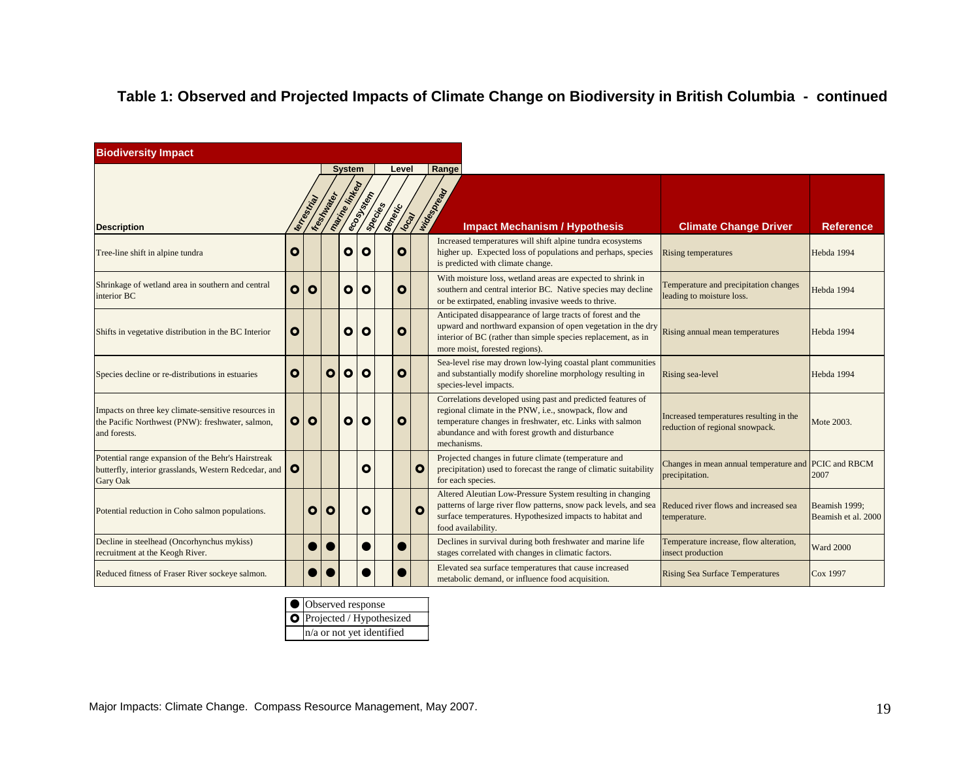| <b>Biodiversity Impact</b>                                                                                              |           |            |              |                       |              |          |       |              |                                                                                                                                                                                                                                                      |                                                                            |                                      |
|-------------------------------------------------------------------------------------------------------------------------|-----------|------------|--------------|-----------------------|--------------|----------|-------|--------------|------------------------------------------------------------------------------------------------------------------------------------------------------------------------------------------------------------------------------------------------------|----------------------------------------------------------------------------|--------------------------------------|
|                                                                                                                         |           |            |              | <b>System</b>         |              |          | Level |              | Range                                                                                                                                                                                                                                                |                                                                            |                                      |
| <b>Description</b>                                                                                                      |           | terrestria | IresMulated  | <b>Marine Kinkedo</b> | ecosystem    | spacines |       | Sentisco     | Note do Note<br><b>Impact Mechanism / Hypothesis</b>                                                                                                                                                                                                 | <b>Climate Change Driver</b>                                               | <b>Reference</b>                     |
| Tree-line shift in alpine tundra                                                                                        | O         |            |              | O                     | O            |          | O     |              | Increased temperatures will shift alpine tundra ecosystems<br>higher up. Expected loss of populations and perhaps, species<br>is predicted with climate change.                                                                                      | <b>Rising temperatures</b>                                                 | Hebda 1994                           |
| Shrinkage of wetland area in southern and central<br>interior BC                                                        | $\bullet$ | $\bullet$  |              | $\bullet$             | O            |          | O     |              | With moisture loss, wetland areas are expected to shrink in<br>southern and central interior BC. Native species may decline<br>or be extirpated, enabling invasive weeds to thrive.                                                                  | Temperature and precipitation changes<br>leading to moisture loss.         | Hebda 1994                           |
| Shifts in vegetative distribution in the BC Interior                                                                    | O         |            |              | O                     | O            |          | O     |              | Anticipated disappearance of large tracts of forest and the<br>upward and northward expansion of open vegetation in the dry<br>interior of BC (rather than simple species replacement, as in<br>more moist, forested regions).                       | Rising annual mean temperatures                                            | Hebda 1994                           |
| Species decline or re-distributions in estuaries                                                                        | $\bullet$ |            | $\mathbf{o}$ | $\bullet$             | O            |          | O     |              | Sea-level rise may drown low-lying coastal plant communities<br>and substantially modify shoreline morphology resulting in<br>species-level impacts.                                                                                                 | Rising sea-level                                                           | Hebda 1994                           |
| Impacts on three key climate-sensitive resources in<br>the Pacific Northwest (PNW): freshwater, salmon,<br>and forests. |           | O O        |              | $\mathbf{o}$          | $\mathbf{o}$ |          | O     |              | Correlations developed using past and predicted features of<br>regional climate in the PNW, i.e., snowpack, flow and<br>temperature changes in freshwater, etc. Links with salmon<br>abundance and with forest growth and disturbance<br>mechanisms. | Increased temperatures resulting in the<br>reduction of regional snowpack. | Mote 2003.                           |
| Potential range expansion of the Behr's Hairstreak<br>butterfly, interior grasslands, Western Redcedar, and<br>Gary Oak | $\bullet$ |            |              |                       | O            |          |       | O            | Projected changes in future climate (temperature and<br>precipitation) used to forecast the range of climatic suitability<br>for each species.                                                                                                       | Changes in mean annual temperature and PCIC and RBCM<br>precipitation.     | 2007                                 |
| Potential reduction in Coho salmon populations.                                                                         |           | O          | O            |                       | O            |          |       | $\mathbf{o}$ | Altered Aleutian Low-Pressure System resulting in changing<br>patterns of large river flow patterns, snow pack levels, and sea<br>surface temperatures. Hypothesized impacts to habitat and<br>food availability.                                    | Reduced river flows and increased sea<br>temperature.                      | Beamish 1999;<br>Beamish et al. 2000 |
| Decline in steelhead (Oncorhynchus mykiss)<br>recruitment at the Keogh River.                                           |           |            |              |                       |              |          |       |              | Declines in survival during both freshwater and marine life<br>stages correlated with changes in climatic factors.                                                                                                                                   | Temperature increase, flow alteration,<br>insect production                | <b>Ward 2000</b>                     |
| Reduced fitness of Fraser River sockeye salmon.                                                                         |           |            |              |                       |              |          |       |              | Elevated sea surface temperatures that cause increased<br>metabolic demand, or influence food acquisition.                                                                                                                                           | <b>Rising Sea Surface Temperatures</b>                                     | Cox 1997                             |

| ● Observed response        |
|----------------------------|
| O Projected / Hypothesized |
| n/a or not yet identified  |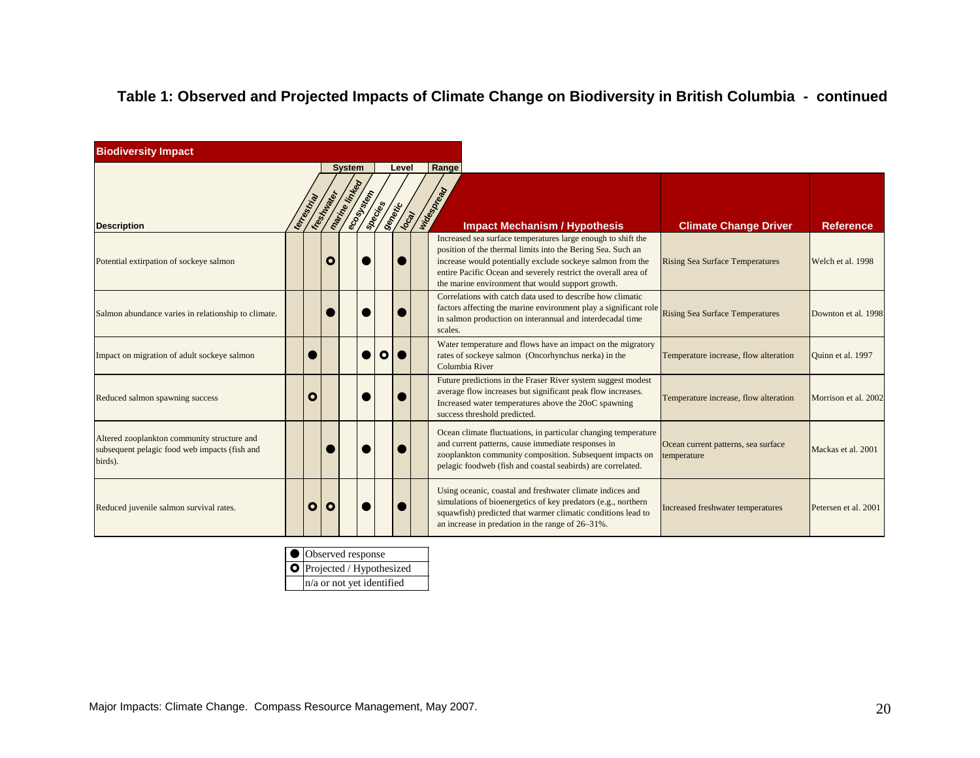| <b>Biodiversity Impact</b>                                                                              |              |                |                                |           |           |       |                                   |                                                                                                                                                                                                                                                                                                                  |                                                    |                      |
|---------------------------------------------------------------------------------------------------------|--------------|----------------|--------------------------------|-----------|-----------|-------|-----------------------------------|------------------------------------------------------------------------------------------------------------------------------------------------------------------------------------------------------------------------------------------------------------------------------------------------------------------|----------------------------------------------------|----------------------|
| <b>Description</b>                                                                                      | terreetrical | IFest Material | <b>System</b><br>marine Knycen | ecosystem |           | Level | <b>CONTRACTOR SECTION SECTION</b> | Range<br><b>Impact Mechanism / Hypothesis</b>                                                                                                                                                                                                                                                                    | <b>Climate Change Driver</b>                       | <b>Reference</b>     |
| Potential extirpation of sockeye salmon                                                                 |              | $\mathbf{o}$   |                                |           |           |       |                                   | Increased sea surface temperatures large enough to shift the<br>position of the thermal limits into the Bering Sea. Such an<br>increase would potentially exclude sockeye salmon from the<br>entire Pacific Ocean and severely restrict the overall area of<br>the marine environment that would support growth. | <b>Rising Sea Surface Temperatures</b>             | Welch et al. 1998    |
| Salmon abundance varies in relationship to climate.                                                     |              |                |                                |           |           |       |                                   | Correlations with catch data used to describe how climatic<br>factors affecting the marine environment play a significant role<br>in salmon production on interannual and interdecadal time<br>scales.                                                                                                           | <b>Rising Sea Surface Temperatures</b>             | Downton et al. 1998  |
| Impact on migration of adult sockeye salmon                                                             |              |                |                                |           | $\bullet$ |       |                                   | Water temperature and flows have an impact on the migratory<br>rates of sockeye salmon (Oncorhynchus nerka) in the<br>Columbia River                                                                                                                                                                             | Temperature increase, flow alteration              | Quinn et al. 1997    |
| Reduced salmon spawning success                                                                         | O            |                |                                |           |           |       |                                   | Future predictions in the Fraser River system suggest modest<br>average flow increases but significant peak flow increases.<br>Increased water temperatures above the 20oC spawning<br>success threshold predicted.                                                                                              | Temperature increase, flow alteration              | Morrison et al. 2002 |
| Altered zooplankton community structure and<br>subsequent pelagic food web impacts (fish and<br>birds). |              |                |                                |           |           |       |                                   | Ocean climate fluctuations, in particular changing temperature<br>and current patterns, cause immediate responses in<br>zooplankton community composition. Subsequent impacts on<br>pelagic foodweb (fish and coastal seabirds) are correlated.                                                                  | Ocean current patterns, sea surface<br>temperature | Mackas et al. 2001   |
| Reduced juvenile salmon survival rates.                                                                 | O            | $\circ$        |                                |           |           |       |                                   | Using oceanic, coastal and freshwater climate indices and<br>simulations of bioenergetics of key predators (e.g., northern<br>squawfish) predicted that warmer climatic conditions lead to<br>an increase in predation in the range of 26–31%.                                                                   | Increased freshwater temperatures                  | Petersen et al. 2001 |

| ● Observed response        |
|----------------------------|
| O Projected / Hypothesized |
| n/a or not yet identified  |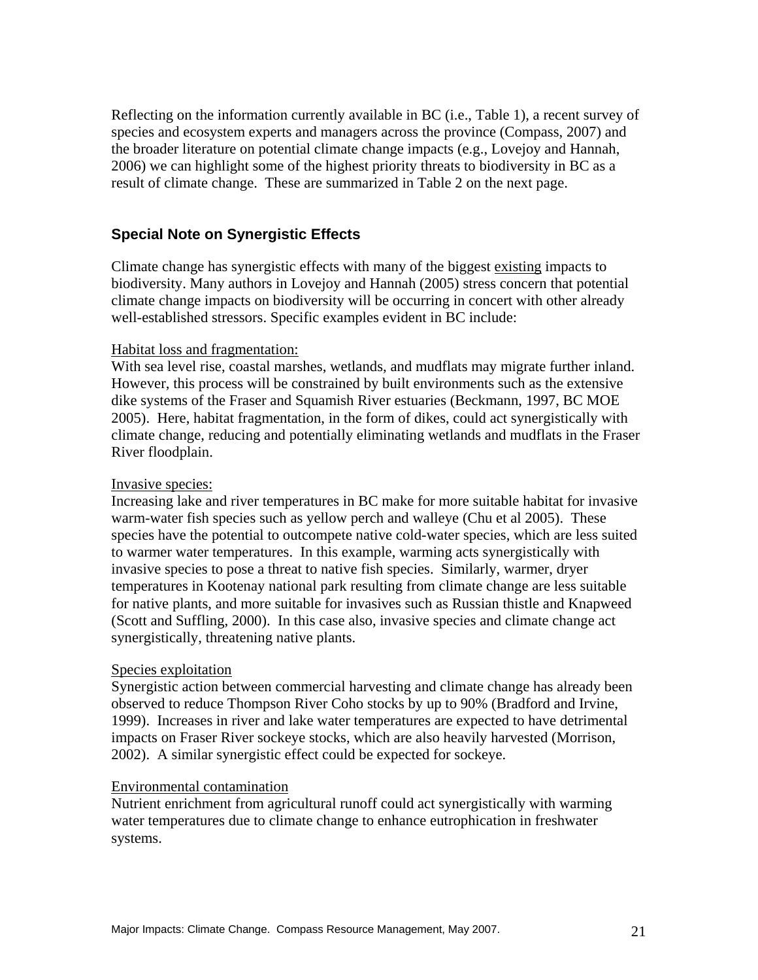Reflecting on the information currently available in BC (i.e., Table 1), a recent survey of species and ecosystem experts and managers across the province (Compass, 2007) and the broader literature on potential climate change impacts (e.g., Lovejoy and Hannah, 2006) we can highlight some of the highest priority threats to biodiversity in BC as a result of climate change. These are summarized in Table 2 on the next page.

#### **Special Note on Synergistic Effects**

Climate change has synergistic effects with many of the biggest existing impacts to biodiversity. Many authors in Lovejoy and Hannah (2005) stress concern that potential climate change impacts on biodiversity will be occurring in concert with other already well-established stressors. Specific examples evident in BC include:

#### Habitat loss and fragmentation:

With sea level rise, coastal marshes, wetlands, and mudflats may migrate further inland. However, this process will be constrained by built environments such as the extensive dike systems of the Fraser and Squamish River estuaries (Beckmann, 1997, BC MOE 2005). Here, habitat fragmentation, in the form of dikes, could act synergistically with climate change, reducing and potentially eliminating wetlands and mudflats in the Fraser River floodplain.

#### Invasive species:

Increasing lake and river temperatures in BC make for more suitable habitat for invasive warm-water fish species such as yellow perch and walleye (Chu et al 2005). These species have the potential to outcompete native cold-water species, which are less suited to warmer water temperatures. In this example, warming acts synergistically with invasive species to pose a threat to native fish species. Similarly, warmer, dryer temperatures in Kootenay national park resulting from climate change are less suitable for native plants, and more suitable for invasives such as Russian thistle and Knapweed (Scott and Suffling, 2000). In this case also, invasive species and climate change act synergistically, threatening native plants.

#### Species exploitation

Synergistic action between commercial harvesting and climate change has already been observed to reduce Thompson River Coho stocks by up to 90% (Bradford and Irvine, 1999). Increases in river and lake water temperatures are expected to have detrimental impacts on Fraser River sockeye stocks, which are also heavily harvested (Morrison, 2002). A similar synergistic effect could be expected for sockeye.

#### Environmental contamination

Nutrient enrichment from agricultural runoff could act synergistically with warming water temperatures due to climate change to enhance eutrophication in freshwater systems.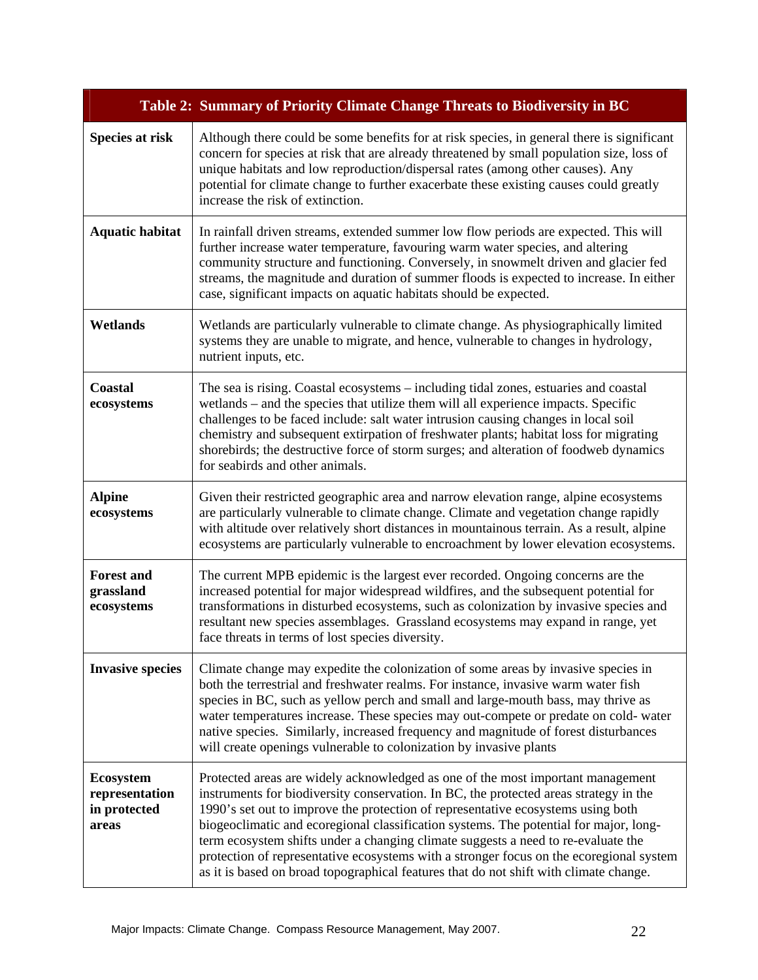|                                                             | Table 2: Summary of Priority Climate Change Threats to Biodiversity in BC                                                                                                                                                                                                                                                                                                                                                                                                                                                                                                                                                      |
|-------------------------------------------------------------|--------------------------------------------------------------------------------------------------------------------------------------------------------------------------------------------------------------------------------------------------------------------------------------------------------------------------------------------------------------------------------------------------------------------------------------------------------------------------------------------------------------------------------------------------------------------------------------------------------------------------------|
| <b>Species at risk</b>                                      | Although there could be some benefits for at risk species, in general there is significant<br>concern for species at risk that are already threatened by small population size, loss of<br>unique habitats and low reproduction/dispersal rates (among other causes). Any<br>potential for climate change to further exacerbate these existing causes could greatly<br>increase the risk of extinction.                                                                                                                                                                                                                        |
| <b>Aquatic habitat</b>                                      | In rainfall driven streams, extended summer low flow periods are expected. This will<br>further increase water temperature, favouring warm water species, and altering<br>community structure and functioning. Conversely, in snowmelt driven and glacier fed<br>streams, the magnitude and duration of summer floods is expected to increase. In either<br>case, significant impacts on aquatic habitats should be expected.                                                                                                                                                                                                  |
| Wetlands                                                    | Wetlands are particularly vulnerable to climate change. As physiographically limited<br>systems they are unable to migrate, and hence, vulnerable to changes in hydrology,<br>nutrient inputs, etc.                                                                                                                                                                                                                                                                                                                                                                                                                            |
| <b>Coastal</b><br>ecosystems                                | The sea is rising. Coastal ecosystems – including tidal zones, estuaries and coastal<br>wetlands – and the species that utilize them will all experience impacts. Specific<br>challenges to be faced include: salt water intrusion causing changes in local soil<br>chemistry and subsequent extirpation of freshwater plants; habitat loss for migrating<br>shorebirds; the destructive force of storm surges; and alteration of foodweb dynamics<br>for seabirds and other animals.                                                                                                                                          |
| <b>Alpine</b><br>ecosystems                                 | Given their restricted geographic area and narrow elevation range, alpine ecosystems<br>are particularly vulnerable to climate change. Climate and vegetation change rapidly<br>with altitude over relatively short distances in mountainous terrain. As a result, alpine<br>ecosystems are particularly vulnerable to encroachment by lower elevation ecosystems.                                                                                                                                                                                                                                                             |
| <b>Forest and</b><br>grassland<br>ecosystems                | The current MPB epidemic is the largest ever recorded. Ongoing concerns are the<br>increased potential for major widespread wildfires, and the subsequent potential for<br>transformations in disturbed ecosystems, such as colonization by invasive species and<br>resultant new species assemblages. Grassland ecosystems may expand in range, yet<br>face threats in terms of lost species diversity.                                                                                                                                                                                                                       |
| <b>Invasive species</b>                                     | Climate change may expedite the colonization of some areas by invasive species in<br>both the terrestrial and freshwater realms. For instance, invasive warm water fish<br>species in BC, such as yellow perch and small and large-mouth bass, may thrive as<br>water temperatures increase. These species may out-compete or predate on cold-water<br>native species. Similarly, increased frequency and magnitude of forest disturbances<br>will create openings vulnerable to colonization by invasive plants                                                                                                               |
| <b>Ecosystem</b><br>representation<br>in protected<br>areas | Protected areas are widely acknowledged as one of the most important management<br>instruments for biodiversity conservation. In BC, the protected areas strategy in the<br>1990's set out to improve the protection of representative ecosystems using both<br>biogeoclimatic and ecoregional classification systems. The potential for major, long-<br>term ecosystem shifts under a changing climate suggests a need to re-evaluate the<br>protection of representative ecosystems with a stronger focus on the ecoregional system<br>as it is based on broad topographical features that do not shift with climate change. |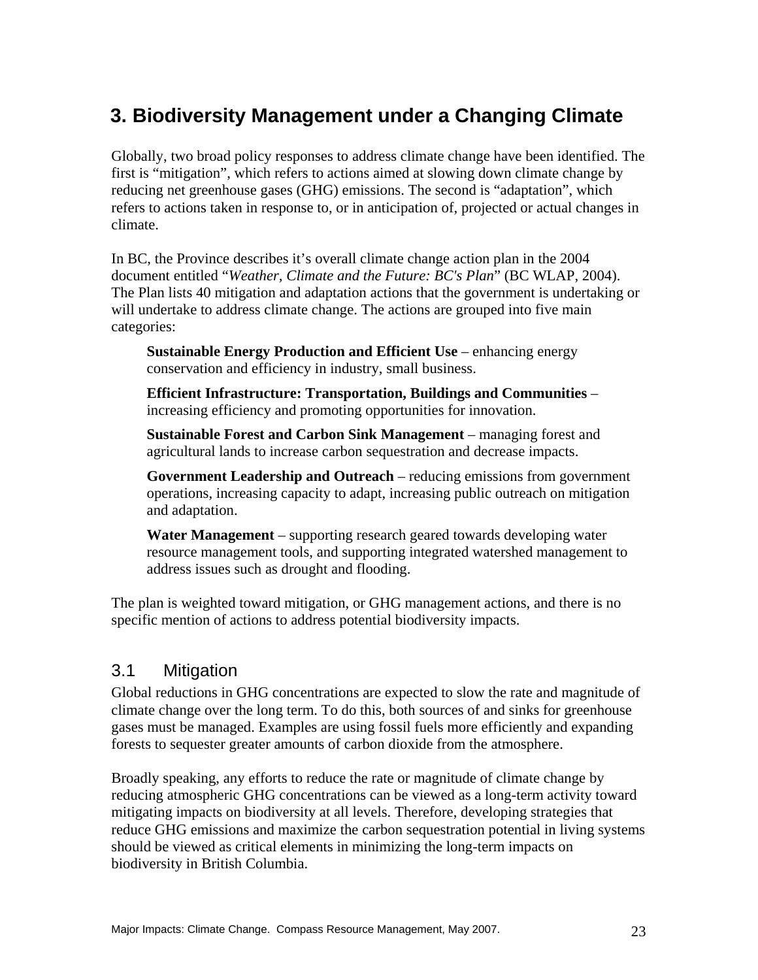# **3. Biodiversity Management under a Changing Climate**

Globally, two broad policy responses to address climate change have been identified. The first is "mitigation", which refers to actions aimed at slowing down climate change by reducing net greenhouse gases (GHG) emissions. The second is "adaptation", which refers to actions taken in response to, or in anticipation of, projected or actual changes in climate.

In BC, the Province describes it's overall climate change action plan in the 2004 document entitled "*Weather, Climate and the Future: BC's Plan*" (BC WLAP, 2004). The Plan lists 40 mitigation and adaptation actions that the government is undertaking or will undertake to address climate change. The actions are grouped into five main categories:

**Sustainable Energy Production and Efficient Use** – enhancing energy conservation and efficiency in industry, small business.

**Efficient Infrastructure: Transportation, Buildings and Communities** – increasing efficiency and promoting opportunities for innovation.

**Sustainable Forest and Carbon Sink Management** – managing forest and agricultural lands to increase carbon sequestration and decrease impacts.

**Government Leadership and Outreach** – reducing emissions from government operations, increasing capacity to adapt, increasing public outreach on mitigation and adaptation.

**Water Management** – supporting research geared towards developing water resource management tools, and supporting integrated watershed management to address issues such as drought and flooding.

The plan is weighted toward mitigation, or GHG management actions, and there is no specific mention of actions to address potential biodiversity impacts.

# 3.1 Mitigation

Global reductions in GHG concentrations are expected to slow the rate and magnitude of climate change over the long term. To do this, both sources of and sinks for greenhouse gases must be managed. Examples are using fossil fuels more efficiently and expanding forests to sequester greater amounts of carbon dioxide from the atmosphere.

Broadly speaking, any efforts to reduce the rate or magnitude of climate change by reducing atmospheric GHG concentrations can be viewed as a long-term activity toward mitigating impacts on biodiversity at all levels. Therefore, developing strategies that reduce GHG emissions and maximize the carbon sequestration potential in living systems should be viewed as critical elements in minimizing the long-term impacts on biodiversity in British Columbia.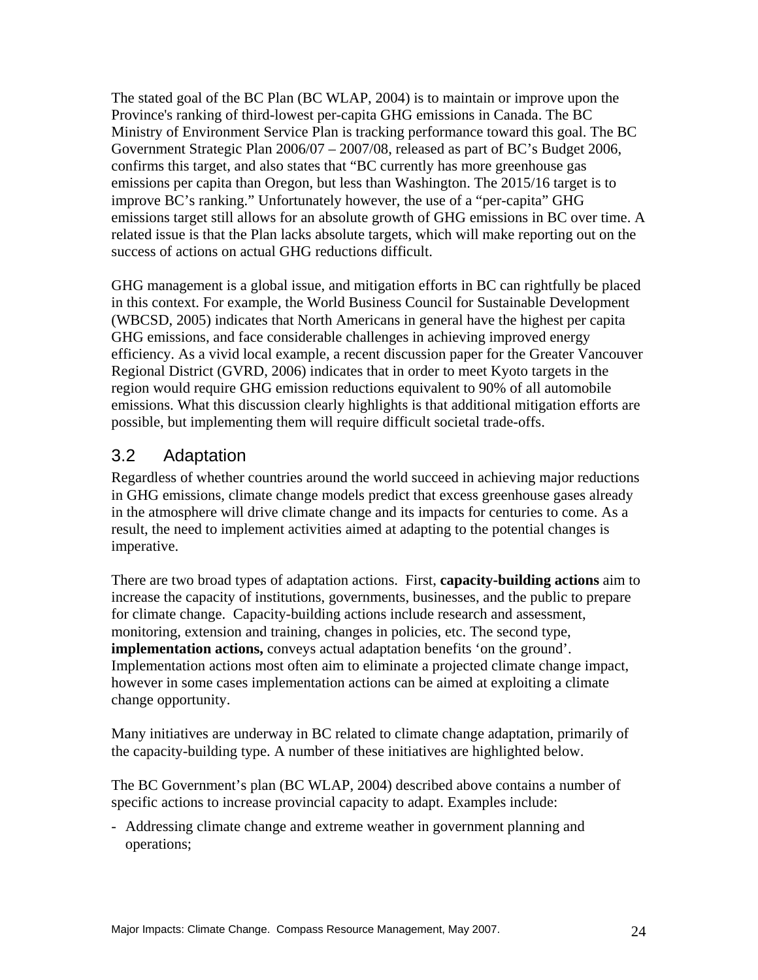The stated goal of the BC Plan (BC WLAP, 2004) is to maintain or improve upon the Province's ranking of third-lowest per-capita GHG emissions in Canada. The BC Ministry of Environment Service Plan is tracking performance toward this goal. The BC Government Strategic Plan 2006/07 – 2007/08, released as part of BC's Budget 2006, confirms this target, and also states that "BC currently has more greenhouse gas emissions per capita than Oregon, but less than Washington. The 2015/16 target is to improve BC's ranking." Unfortunately however, the use of a "per-capita" GHG emissions target still allows for an absolute growth of GHG emissions in BC over time. A related issue is that the Plan lacks absolute targets, which will make reporting out on the success of actions on actual GHG reductions difficult.

GHG management is a global issue, and mitigation efforts in BC can rightfully be placed in this context. For example, the World Business Council for Sustainable Development (WBCSD, 2005) indicates that North Americans in general have the highest per capita GHG emissions, and face considerable challenges in achieving improved energy efficiency. As a vivid local example, a recent discussion paper for the Greater Vancouver Regional District (GVRD, 2006) indicates that in order to meet Kyoto targets in the region would require GHG emission reductions equivalent to 90% of all automobile emissions. What this discussion clearly highlights is that additional mitigation efforts are possible, but implementing them will require difficult societal trade-offs.

# 3.2 Adaptation

Regardless of whether countries around the world succeed in achieving major reductions in GHG emissions, climate change models predict that excess greenhouse gases already in the atmosphere will drive climate change and its impacts for centuries to come. As a result, the need to implement activities aimed at adapting to the potential changes is imperative.

There are two broad types of adaptation actions. First, **capacity-building actions** aim to increase the capacity of institutions, governments, businesses, and the public to prepare for climate change. Capacity-building actions include research and assessment, monitoring, extension and training, changes in policies, etc. The second type, **implementation actions, conveys actual adaptation benefits 'on the ground'.** Implementation actions most often aim to eliminate a projected climate change impact, however in some cases implementation actions can be aimed at exploiting a climate change opportunity.

Many initiatives are underway in BC related to climate change adaptation, primarily of the capacity-building type. A number of these initiatives are highlighted below.

The BC Government's plan (BC WLAP, 2004) described above contains a number of specific actions to increase provincial capacity to adapt. Examples include:

- Addressing climate change and extreme weather in government planning and operations;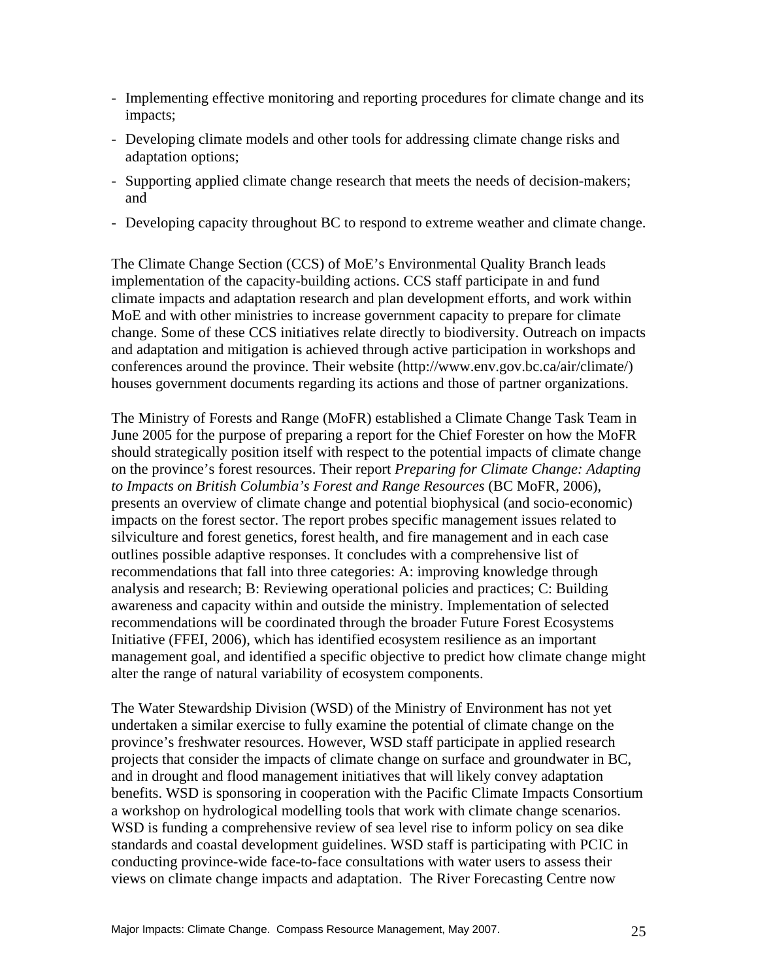- Implementing effective monitoring and reporting procedures for climate change and its impacts;
- Developing climate models and other tools for addressing climate change risks and adaptation options;
- Supporting applied climate change research that meets the needs of decision-makers; and
- Developing capacity throughout BC to respond to extreme weather and climate change.

The Climate Change Section (CCS) of MoE's Environmental Quality Branch leads implementation of the capacity-building actions. CCS staff participate in and fund climate impacts and adaptation research and plan development efforts, and work within MoE and with other ministries to increase government capacity to prepare for climate change. Some of these CCS initiatives relate directly to biodiversity. Outreach on impacts and adaptation and mitigation is achieved through active participation in workshops and conferences around the province. Their website (http://www.env.gov.bc.ca/air/climate/) houses government documents regarding its actions and those of partner organizations.

The Ministry of Forests and Range (MoFR) established a Climate Change Task Team in June 2005 for the purpose of preparing a report for the Chief Forester on how the MoFR should strategically position itself with respect to the potential impacts of climate change on the province's forest resources. Their report *Preparing for Climate Change: Adapting to Impacts on British Columbia's Forest and Range Resources* (BC MoFR, 2006), presents an overview of climate change and potential biophysical (and socio-economic) impacts on the forest sector. The report probes specific management issues related to silviculture and forest genetics, forest health, and fire management and in each case outlines possible adaptive responses. It concludes with a comprehensive list of recommendations that fall into three categories: A: improving knowledge through analysis and research; B: Reviewing operational policies and practices; C: Building awareness and capacity within and outside the ministry. Implementation of selected recommendations will be coordinated through the broader Future Forest Ecosystems Initiative (FFEI, 2006), which has identified ecosystem resilience as an important management goal, and identified a specific objective to predict how climate change might alter the range of natural variability of ecosystem components.

The Water Stewardship Division (WSD) of the Ministry of Environment has not yet undertaken a similar exercise to fully examine the potential of climate change on the province's freshwater resources. However, WSD staff participate in applied research projects that consider the impacts of climate change on surface and groundwater in BC, and in drought and flood management initiatives that will likely convey adaptation benefits. WSD is sponsoring in cooperation with the Pacific Climate Impacts Consortium a workshop on hydrological modelling tools that work with climate change scenarios. WSD is funding a comprehensive review of sea level rise to inform policy on sea dike standards and coastal development guidelines. WSD staff is participating with PCIC in conducting province-wide face-to-face consultations with water users to assess their views on climate change impacts and adaptation. The River Forecasting Centre now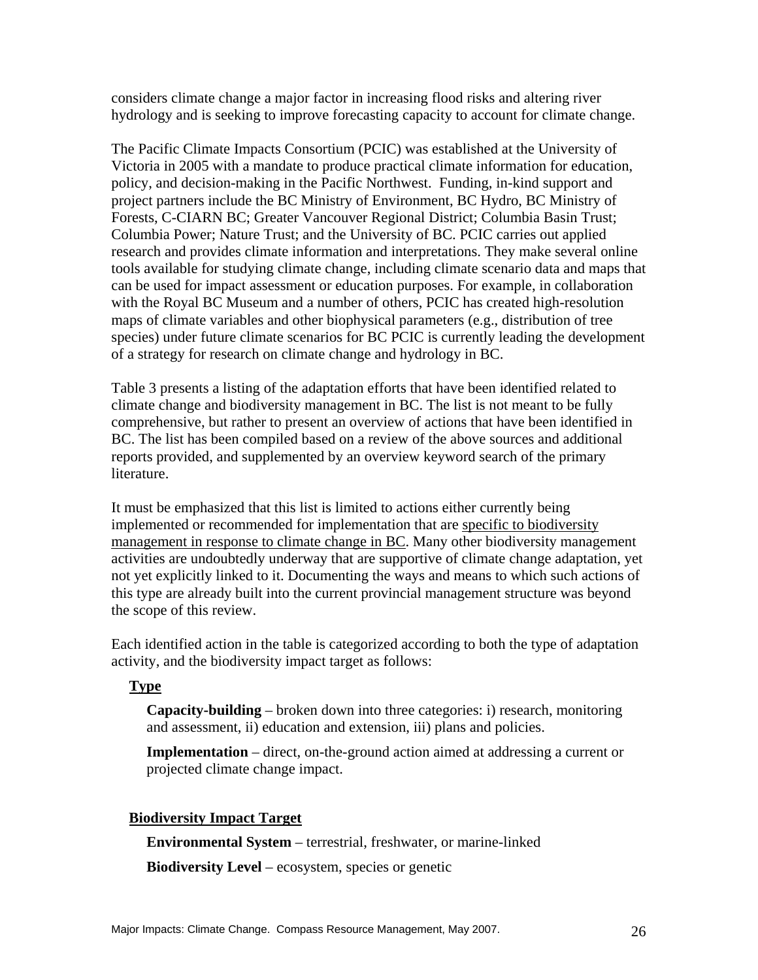considers climate change a major factor in increasing flood risks and altering river hydrology and is seeking to improve forecasting capacity to account for climate change.

The Pacific Climate Impacts Consortium (PCIC) was established at the University of Victoria in 2005 with a mandate to produce practical climate information for education, policy, and decision-making in the Pacific Northwest. Funding, in-kind support and project partners include the BC Ministry of Environment, BC Hydro, BC Ministry of Forests, C-CIARN BC; Greater Vancouver Regional District; Columbia Basin Trust; Columbia Power; Nature Trust; and the University of BC. PCIC carries out applied research and provides climate information and interpretations. They make several online tools available for studying climate change, including climate scenario data and maps that can be used for impact assessment or education purposes. For example, in collaboration with the Royal BC Museum and a number of others, PCIC has created high-resolution maps of climate variables and other biophysical parameters (e.g., distribution of tree species) under future climate scenarios for BC PCIC is currently leading the development of a strategy for research on climate change and hydrology in BC.

Table 3 presents a listing of the adaptation efforts that have been identified related to climate change and biodiversity management in BC. The list is not meant to be fully comprehensive, but rather to present an overview of actions that have been identified in BC. The list has been compiled based on a review of the above sources and additional reports provided, and supplemented by an overview keyword search of the primary literature.

It must be emphasized that this list is limited to actions either currently being implemented or recommended for implementation that are specific to biodiversity management in response to climate change in BC. Many other biodiversity management activities are undoubtedly underway that are supportive of climate change adaptation, yet not yet explicitly linked to it. Documenting the ways and means to which such actions of this type are already built into the current provincial management structure was beyond the scope of this review.

Each identified action in the table is categorized according to both the type of adaptation activity, and the biodiversity impact target as follows:

#### **Type**

**Capacity-building** – broken down into three categories: i) research, monitoring and assessment, ii) education and extension, iii) plans and policies.

**Implementation** – direct, on-the-ground action aimed at addressing a current or projected climate change impact.

#### **Biodiversity Impact Target**

**Environmental System** – terrestrial, freshwater, or marine-linked

**Biodiversity Level** – ecosystem, species or genetic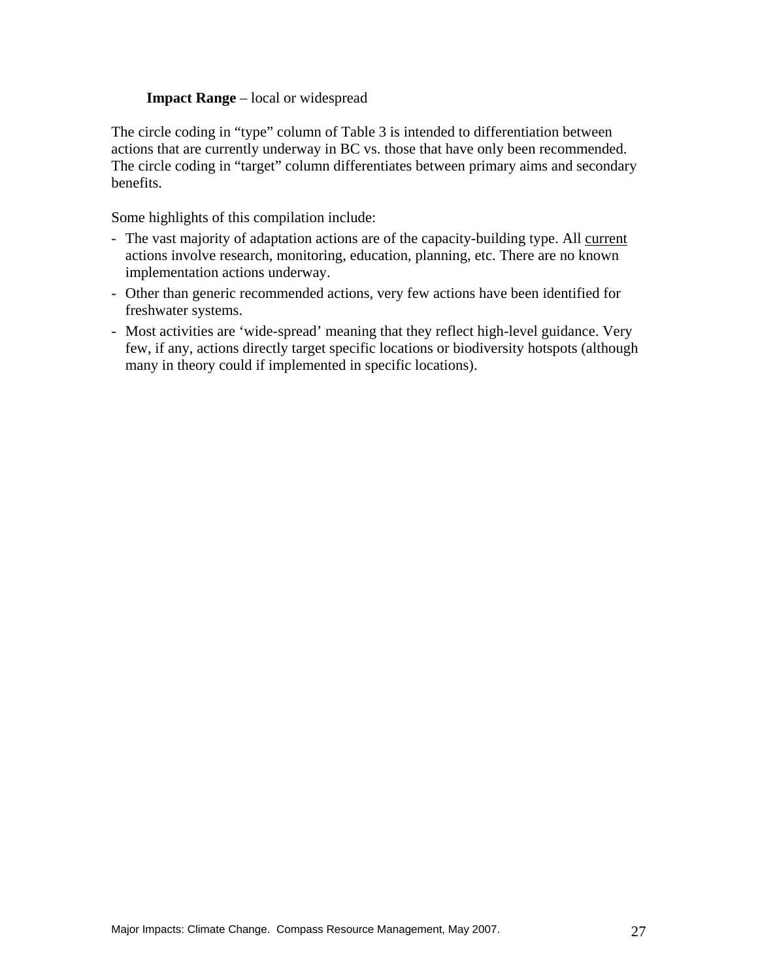#### **Impact Range** – local or widespread

The circle coding in "type" column of Table 3 is intended to differentiation between actions that are currently underway in BC vs. those that have only been recommended. The circle coding in "target" column differentiates between primary aims and secondary benefits.

Some highlights of this compilation include:

- The vast majority of adaptation actions are of the capacity-building type. All current actions involve research, monitoring, education, planning, etc. There are no known implementation actions underway.
- Other than generic recommended actions, very few actions have been identified for freshwater systems.
- Most activities are 'wide-spread' meaning that they reflect high-level guidance. Very few, if any, actions directly target specific locations or biodiversity hotspots (although many in theory could if implemented in specific locations).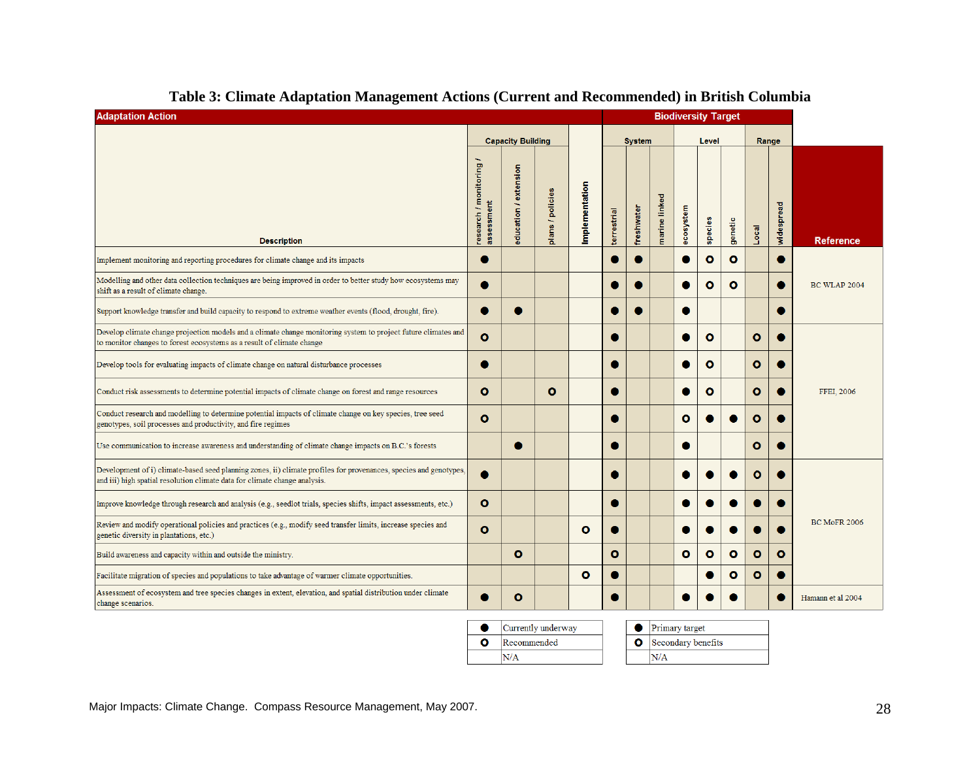| <b>Adaptation Action</b><br><b>Biodiversity Target</b>                                                                                                                                          |                                     |                          |                      |                |             |               |               |           |              |              |              |            |                     |
|-------------------------------------------------------------------------------------------------------------------------------------------------------------------------------------------------|-------------------------------------|--------------------------|----------------------|----------------|-------------|---------------|---------------|-----------|--------------|--------------|--------------|------------|---------------------|
|                                                                                                                                                                                                 |                                     | <b>Capacity Building</b> |                      |                |             | <b>System</b> |               |           | Level        |              |              | Range      |                     |
| <b>Description</b>                                                                                                                                                                              | research / monitoring<br>assessment | education / extension    | ans / policies<br>ъ. | Implementation | terrestrial | freshwater    | marine linked | ecosystem | species      | genetic      | Local        | widespread | <b>Reference</b>    |
| Implement monitoring and reporting procedures for climate change and its impacts                                                                                                                |                                     |                          |                      |                |             |               |               |           | $\circ$      | $\mathbf{o}$ |              |            |                     |
| Modelling and other data collection techniques are being improved in order to better study how ecosystems may<br>shift as a result of climate change.                                           |                                     |                          |                      |                |             |               |               |           | $\mathbf{o}$ | $\bullet$    |              |            | <b>BC WLAP 2004</b> |
| Support knowledge transfer and build capacity to respond to extreme weather events (flood, drought, fire).                                                                                      |                                     |                          |                      |                |             |               |               |           |              |              |              |            |                     |
| Develop climate change projection models and a climate change monitoring system to project future climates and<br>to monitor changes to forest ecosystems as a result of climate change         | $\mathbf{o}$                        |                          |                      |                | О           |               |               |           | $\bullet$    |              | $\mathbf{o}$ |            |                     |
| Develop tools for evaluating impacts of climate change on natural disturbance processes                                                                                                         |                                     |                          |                      |                |             |               |               |           | $\bullet$    |              | $\mathbf{o}$ |            |                     |
| Conduct risk assessments to determine potential impacts of climate change on forest and range resources                                                                                         | $\bullet$                           |                          | O                    |                | O           |               |               |           | $\bullet$    |              | $\mathbf{o}$ |            | FFEI, 2006          |
| Conduct research and modelling to determine potential impacts of climate change on key species, tree seed<br>genotypes, soil processes and productivity, and fire regimes                       | $\mathbf{o}$                        |                          |                      |                |             |               |               | ٥         |              |              | o            |            |                     |
| Use communication to increase awareness and understanding of climate change impacts on B.C.'s forests                                                                                           |                                     |                          |                      |                |             |               |               |           |              |              | $\mathbf{o}$ |            |                     |
| Development of i) climate-based seed planning zones, ii) climate profiles for provenances, species and genotypes,<br>and iii) high spatial resolution climate data for climate change analysis. |                                     |                          |                      |                |             |               |               |           |              |              | o            |            |                     |
| Improve knowledge through research and analysis (e.g., seedlot trials, species shifts, impact assessments, etc.)                                                                                | $\mathbf{o}$                        |                          |                      |                | O           |               |               |           |              |              |              |            |                     |
| Review and modify operational policies and practices (e.g., modify seed transfer limits, increase species and<br>genetic diversity in plantations, etc.)                                        | $\mathbf o$                         |                          |                      | $\mathbf{o}$   | O           |               |               |           |              |              |              |            | <b>BC MoFR 2006</b> |
| Build awareness and capacity within and outside the ministry.                                                                                                                                   |                                     | $\mathbf{o}$             |                      |                | O           |               |               | o         | $\bullet$    | $\bullet$    | $\bullet$    | o          |                     |
| Facilitate migration of species and populations to take advantage of warmer climate opportunities.                                                                                              |                                     |                          |                      | $\mathbf o$    |             |               |               |           |              | ٥            | $\mathbf{o}$ |            |                     |
| Assessment of ecosystem and tree species changes in extent, elevation, and spatial distribution under climate<br>change scenarios.                                                              |                                     | o                        |                      |                |             |               |               |           |              |              |              |            | Hamann et al 2004   |

#### **Table 3: Climate Adaptation Management Actions (Current and Recommended) in British Columbia**

|   | Currently underway |
|---|--------------------|
| ο | Recommended        |
|   | N/A                |

 $\bullet$  Primary target

**O** Secondary benefits  $N/A$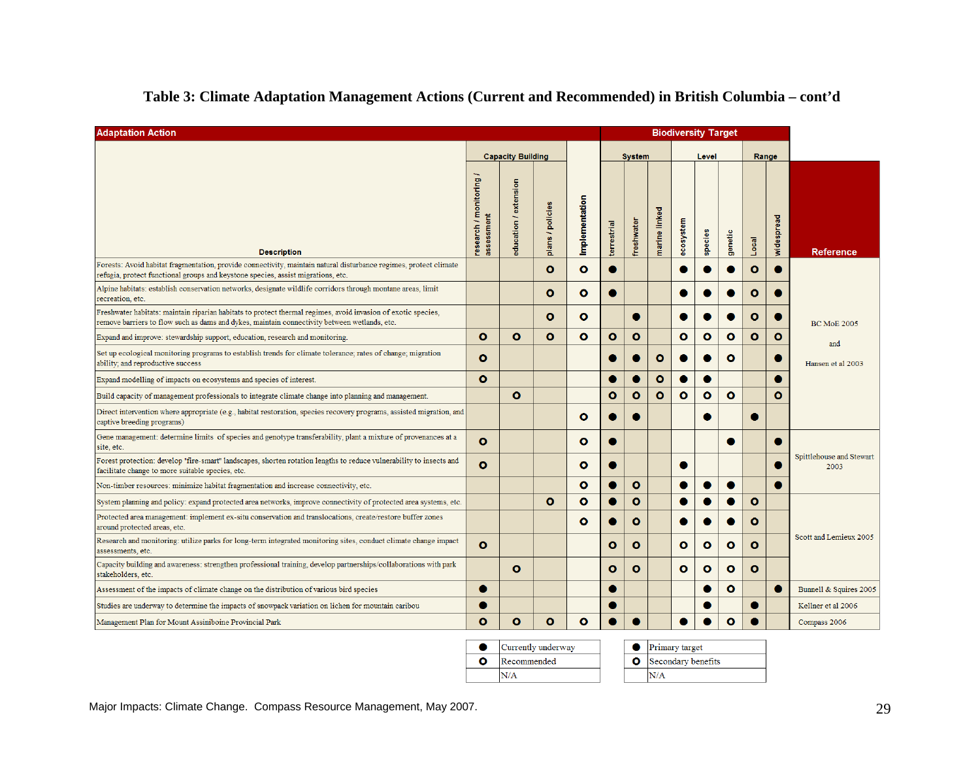| <b>Adaptation Action</b>                                                                                                                                                                                      |                                     |                          |                  |                |               |              |               |              | <b>Biodiversity Target</b> |              |              |             |                                  |
|---------------------------------------------------------------------------------------------------------------------------------------------------------------------------------------------------------------|-------------------------------------|--------------------------|------------------|----------------|---------------|--------------|---------------|--------------|----------------------------|--------------|--------------|-------------|----------------------------------|
|                                                                                                                                                                                                               |                                     | <b>Capacity Building</b> |                  |                | <b>System</b> |              |               | Level        |                            |              | Range        |             |                                  |
| <b>Description</b>                                                                                                                                                                                            | research / monitoring<br>assessment | education / extension    | plans / policies | Implementation | terrestrial   | freshwater   | marine linked | ecosystem    | species                    | genetic      | Local        | widespread  | <b>Reference</b>                 |
| Forests: Avoid habitat fragmentation, provide connectivity, maintain natural disturbance regimes, protect climate<br>refugia, protect functional groups and keystone species, assist migrations, etc.         |                                     |                          | $\bullet$        | $\bullet$      |               |              |               |              |                            |              | o            |             |                                  |
| Alpine habitats: establish conservation networks, designate wildlife corridors through montane areas, limit<br>recreation, etc.                                                                               |                                     |                          | ο                | o              |               |              |               |              |                            |              | o            |             |                                  |
| Freshwater habitats: maintain riparian habitats to protect thermal regimes, avoid invasion of exotic species,<br>remove barriers to flow such as dams and dykes, maintain connectivity between wetlands, etc. |                                     |                          | $\mathbf{o}$     | $\bullet$      |               | G            |               |              |                            |              | O            |             | <b>BC MoE 2005</b>               |
| Expand and improve: stewardship support, education, research and monitoring.                                                                                                                                  | o                                   | o                        | $\mathbf{o}$     | $\mathbf{o}$   | $\bullet$     | $\bullet$    |               | $\bullet$    | $\mathbf o$                | $\mathbf o$  | $\mathbf{o}$ | $\mathbf o$ | and                              |
| Set up ecological monitoring programs to establish trends for climate tolerance; rates of change; migration<br>ability; and reproductive success                                                              | o                                   |                          |                  |                |               |              | O             |              |                            | o            |              |             | Hansen et al 2003                |
| Expand modelling of impacts on ecosystems and species of interest.                                                                                                                                            | Ō                                   |                          |                  |                |               |              | $\mathbf{o}$  |              |                            |              |              |             |                                  |
| Build capacity of management professionals to integrate climate change into planning and management.                                                                                                          |                                     | ۰                        |                  |                | ۰             | $\circ$      | $\bullet$     | $\bullet$    | $\bullet$                  | $\bullet$    |              | $\bullet$   |                                  |
| Direct intervention where appropriate (e.g., habitat restoration, species recovery programs, assisted migration, and<br>captive breeding programs)                                                            |                                     |                          |                  | $\circ$        |               |              |               |              |                            |              |              |             |                                  |
| Gene management: determine limits of species and genotype transferability, plant a mixture of provenances at a<br>site, etc.                                                                                  | ٥                                   |                          |                  | ٥              |               |              |               |              |                            |              |              |             |                                  |
| Forest protection: develop "fire-smart" landscapes, shorten rotation lengths to reduce vulnerability to insects and<br>facilitate change to more suitable species, etc.                                       | Ō                                   |                          |                  | $\circ$        |               |              |               |              |                            |              |              |             | Spittlehouse and Stewart<br>2003 |
| Non-timber resources: minimize habitat fragmentation and increase connectivity, etc.                                                                                                                          |                                     |                          |                  | $\bullet$      |               | $\bullet$    |               |              |                            | 0            |              |             |                                  |
| System planning and policy: expand protected area networks, improve connectivity of protected area systems, etc.                                                                                              |                                     |                          | $\mathbf o$      | $\bullet$      |               | $\bullet$    |               |              |                            |              | $\bullet$    |             |                                  |
| Protected area management: implement ex-situ conservation and translocations, create/restore buffer zones<br>around protected areas, etc.                                                                     |                                     |                          |                  | $\mathbf{o}$   |               | $\mathbf{o}$ |               |              |                            |              | O            |             |                                  |
| Research and monitoring: utilize parks for long-term integrated monitoring sites, conduct climate change impact<br>assessments, etc.                                                                          | Ō                                   |                          |                  |                | $\mathbf{o}$  | $\mathbf{o}$ |               | $\mathbf{o}$ | $\mathbf o$                | $\mathbf{o}$ | $\mathbf{o}$ |             | Scott and Lemieux 2005           |
| Capacity building and awareness: strengthen professional training, develop partnerships/collaborations with park<br>stakeholders, etc.                                                                        |                                     | o                        |                  |                | $\mathbf{o}$  | $\mathbf{o}$ |               | $\mathbf{o}$ | o                          | o            | o            |             |                                  |
| Assessment of the impacts of climate change on the distribution of various bird species                                                                                                                       |                                     |                          |                  |                |               |              |               |              |                            | $\bullet$    |              |             | Bunnell & Squires 2005           |
| Studies are underway to determine the impacts of snowpack variation on lichen for mountain caribou                                                                                                            |                                     |                          |                  |                |               |              |               |              |                            |              |              |             | Kellner et al 2006               |
| Management Plan for Mount Assiniboine Provincial Park                                                                                                                                                         | o                                   | $\bullet$                | $\bullet$        | o              |               |              |               |              |                            | $\mathbf{o}$ |              |             | Compass 2006                     |

#### **Table 3: Climate Adaptation Management Actions (Current and Recommended) in British Columbia – cont'd**

Currently underway  $\bullet$  Primary target  $\bullet$  $\overline{\mathbf{o}}$ Recommended **O** Secondary benefits  $N/A$  $N/A$ 

Major Impacts: Climate Change. Compass Resource Management, May 2007.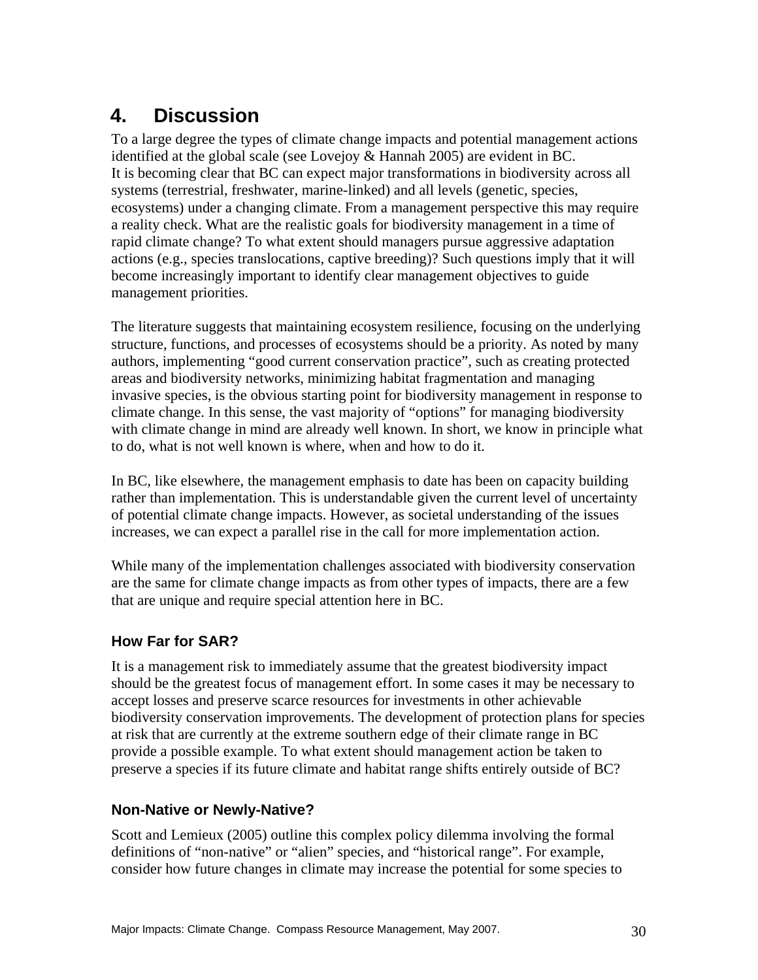# **4. Discussion**

To a large degree the types of climate change impacts and potential management actions identified at the global scale (see Lovejoy & Hannah 2005) are evident in BC. It is becoming clear that BC can expect major transformations in biodiversity across all systems (terrestrial, freshwater, marine-linked) and all levels (genetic, species, ecosystems) under a changing climate. From a management perspective this may require a reality check. What are the realistic goals for biodiversity management in a time of rapid climate change? To what extent should managers pursue aggressive adaptation actions (e.g., species translocations, captive breeding)? Such questions imply that it will become increasingly important to identify clear management objectives to guide management priorities.

The literature suggests that maintaining ecosystem resilience, focusing on the underlying structure, functions, and processes of ecosystems should be a priority. As noted by many authors, implementing "good current conservation practice", such as creating protected areas and biodiversity networks, minimizing habitat fragmentation and managing invasive species, is the obvious starting point for biodiversity management in response to climate change. In this sense, the vast majority of "options" for managing biodiversity with climate change in mind are already well known. In short, we know in principle what to do, what is not well known is where, when and how to do it.

In BC, like elsewhere, the management emphasis to date has been on capacity building rather than implementation. This is understandable given the current level of uncertainty of potential climate change impacts. However, as societal understanding of the issues increases, we can expect a parallel rise in the call for more implementation action.

While many of the implementation challenges associated with biodiversity conservation are the same for climate change impacts as from other types of impacts, there are a few that are unique and require special attention here in BC.

# **How Far for SAR?**

It is a management risk to immediately assume that the greatest biodiversity impact should be the greatest focus of management effort. In some cases it may be necessary to accept losses and preserve scarce resources for investments in other achievable biodiversity conservation improvements. The development of protection plans for species at risk that are currently at the extreme southern edge of their climate range in BC provide a possible example. To what extent should management action be taken to preserve a species if its future climate and habitat range shifts entirely outside of BC?

### **Non-Native or Newly-Native?**

Scott and Lemieux (2005) outline this complex policy dilemma involving the formal definitions of "non-native" or "alien" species, and "historical range". For example, consider how future changes in climate may increase the potential for some species to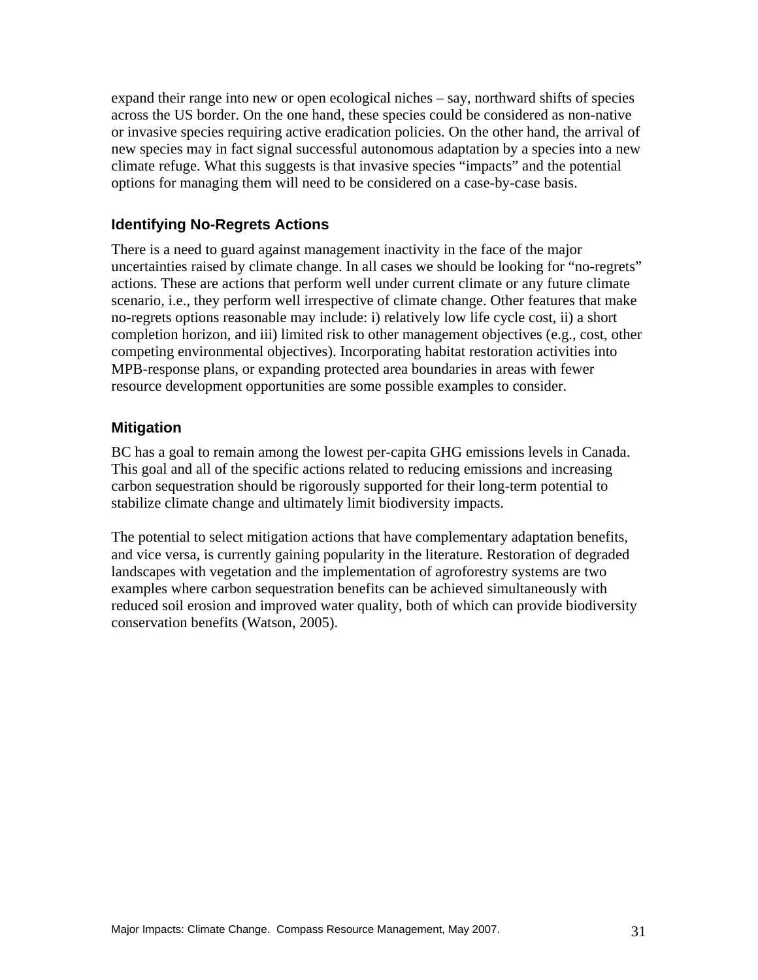expand their range into new or open ecological niches – say, northward shifts of species across the US border. On the one hand, these species could be considered as non-native or invasive species requiring active eradication policies. On the other hand, the arrival of new species may in fact signal successful autonomous adaptation by a species into a new climate refuge. What this suggests is that invasive species "impacts" and the potential options for managing them will need to be considered on a case-by-case basis.

#### **Identifying No-Regrets Actions**

There is a need to guard against management inactivity in the face of the major uncertainties raised by climate change. In all cases we should be looking for "no-regrets" actions. These are actions that perform well under current climate or any future climate scenario, i.e., they perform well irrespective of climate change. Other features that make no-regrets options reasonable may include: i) relatively low life cycle cost, ii) a short completion horizon, and iii) limited risk to other management objectives (e.g., cost, other competing environmental objectives). Incorporating habitat restoration activities into MPB-response plans, or expanding protected area boundaries in areas with fewer resource development opportunities are some possible examples to consider.

#### **Mitigation**

BC has a goal to remain among the lowest per-capita GHG emissions levels in Canada. This goal and all of the specific actions related to reducing emissions and increasing carbon sequestration should be rigorously supported for their long-term potential to stabilize climate change and ultimately limit biodiversity impacts.

The potential to select mitigation actions that have complementary adaptation benefits, and vice versa, is currently gaining popularity in the literature. Restoration of degraded landscapes with vegetation and the implementation of agroforestry systems are two examples where carbon sequestration benefits can be achieved simultaneously with reduced soil erosion and improved water quality, both of which can provide biodiversity conservation benefits (Watson, 2005).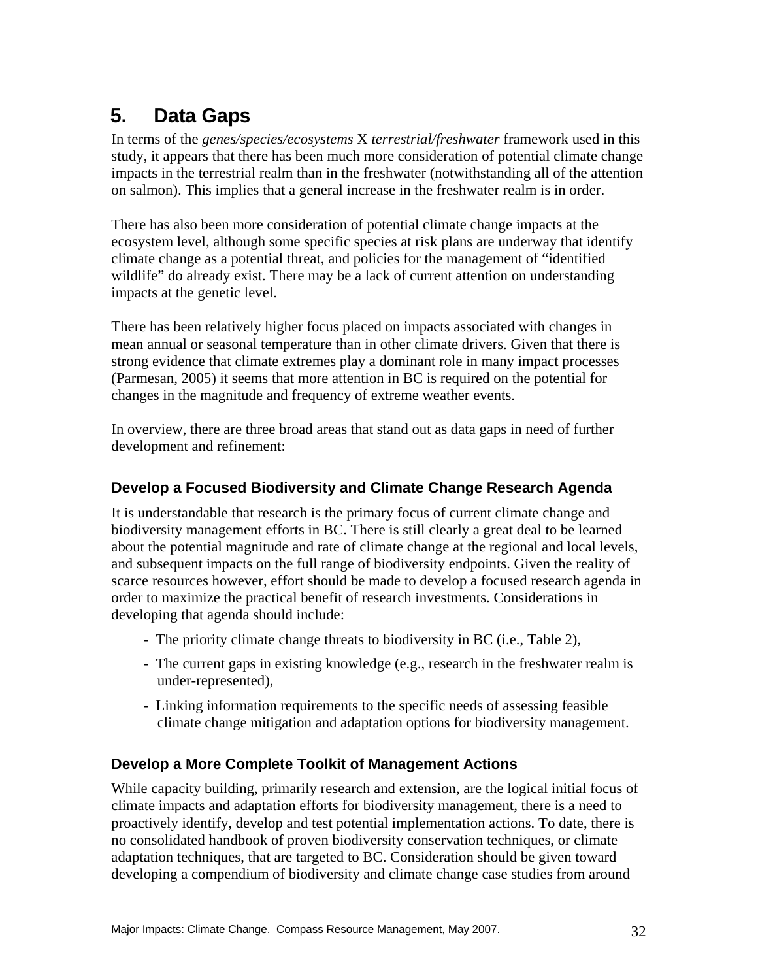# **5. Data Gaps**

In terms of the *genes/species/ecosystems* X *terrestrial/freshwater* framework used in this study, it appears that there has been much more consideration of potential climate change impacts in the terrestrial realm than in the freshwater (notwithstanding all of the attention on salmon). This implies that a general increase in the freshwater realm is in order.

There has also been more consideration of potential climate change impacts at the ecosystem level, although some specific species at risk plans are underway that identify climate change as a potential threat, and policies for the management of "identified wildlife" do already exist. There may be a lack of current attention on understanding impacts at the genetic level.

There has been relatively higher focus placed on impacts associated with changes in mean annual or seasonal temperature than in other climate drivers. Given that there is strong evidence that climate extremes play a dominant role in many impact processes (Parmesan, 2005) it seems that more attention in BC is required on the potential for changes in the magnitude and frequency of extreme weather events.

In overview, there are three broad areas that stand out as data gaps in need of further development and refinement:

### **Develop a Focused Biodiversity and Climate Change Research Agenda**

It is understandable that research is the primary focus of current climate change and biodiversity management efforts in BC. There is still clearly a great deal to be learned about the potential magnitude and rate of climate change at the regional and local levels, and subsequent impacts on the full range of biodiversity endpoints. Given the reality of scarce resources however, effort should be made to develop a focused research agenda in order to maximize the practical benefit of research investments. Considerations in developing that agenda should include:

- The priority climate change threats to biodiversity in BC (i.e., Table 2),
- The current gaps in existing knowledge (e.g., research in the freshwater realm is under-represented),
- Linking information requirements to the specific needs of assessing feasible climate change mitigation and adaptation options for biodiversity management.

### **Develop a More Complete Toolkit of Management Actions**

While capacity building, primarily research and extension, are the logical initial focus of climate impacts and adaptation efforts for biodiversity management, there is a need to proactively identify, develop and test potential implementation actions. To date, there is no consolidated handbook of proven biodiversity conservation techniques, or climate adaptation techniques, that are targeted to BC. Consideration should be given toward developing a compendium of biodiversity and climate change case studies from around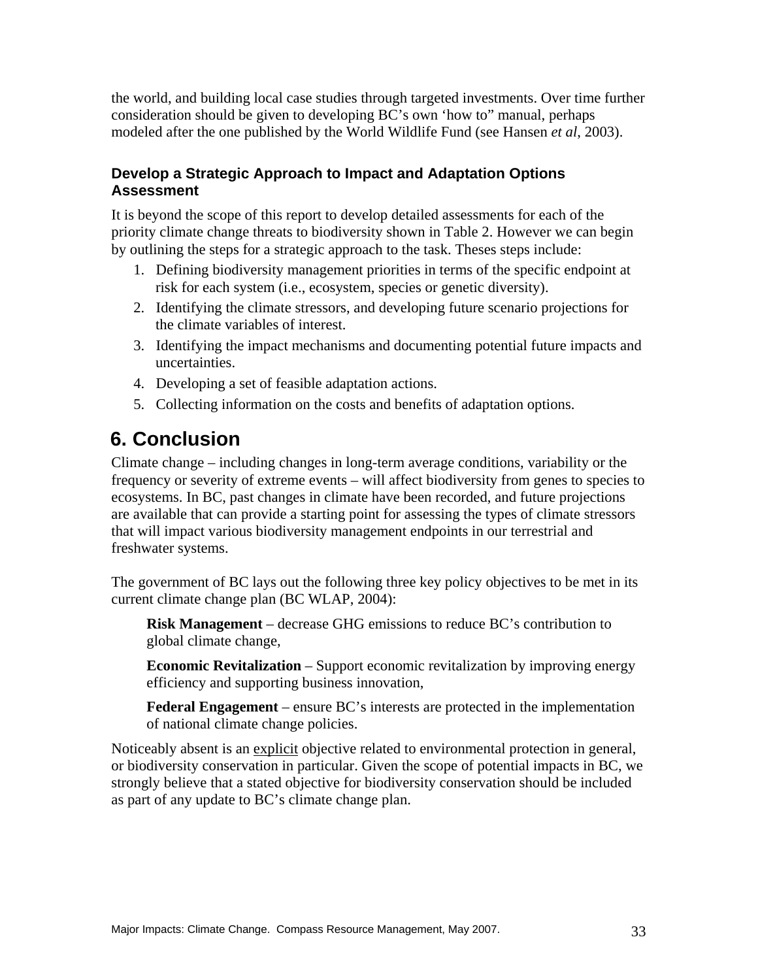the world, and building local case studies through targeted investments. Over time further consideration should be given to developing BC's own 'how to" manual, perhaps modeled after the one published by the World Wildlife Fund (see Hansen *et al*, 2003).

### **Develop a Strategic Approach to Impact and Adaptation Options Assessment**

It is beyond the scope of this report to develop detailed assessments for each of the priority climate change threats to biodiversity shown in Table 2. However we can begin by outlining the steps for a strategic approach to the task. Theses steps include:

- 1. Defining biodiversity management priorities in terms of the specific endpoint at risk for each system (i.e., ecosystem, species or genetic diversity).
- 2. Identifying the climate stressors, and developing future scenario projections for the climate variables of interest.
- 3. Identifying the impact mechanisms and documenting potential future impacts and uncertainties.
- 4. Developing a set of feasible adaptation actions.
- 5. Collecting information on the costs and benefits of adaptation options.

# **6. Conclusion**

Climate change – including changes in long-term average conditions, variability or the frequency or severity of extreme events – will affect biodiversity from genes to species to ecosystems. In BC, past changes in climate have been recorded, and future projections are available that can provide a starting point for assessing the types of climate stressors that will impact various biodiversity management endpoints in our terrestrial and freshwater systems.

The government of BC lays out the following three key policy objectives to be met in its current climate change plan (BC WLAP, 2004):

**Risk Management** – decrease GHG emissions to reduce BC's contribution to global climate change,

**Economic Revitalization** – Support economic revitalization by improving energy efficiency and supporting business innovation,

**Federal Engagement** – ensure BC's interests are protected in the implementation of national climate change policies.

Noticeably absent is an explicit objective related to environmental protection in general, or biodiversity conservation in particular. Given the scope of potential impacts in BC, we strongly believe that a stated objective for biodiversity conservation should be included as part of any update to BC's climate change plan.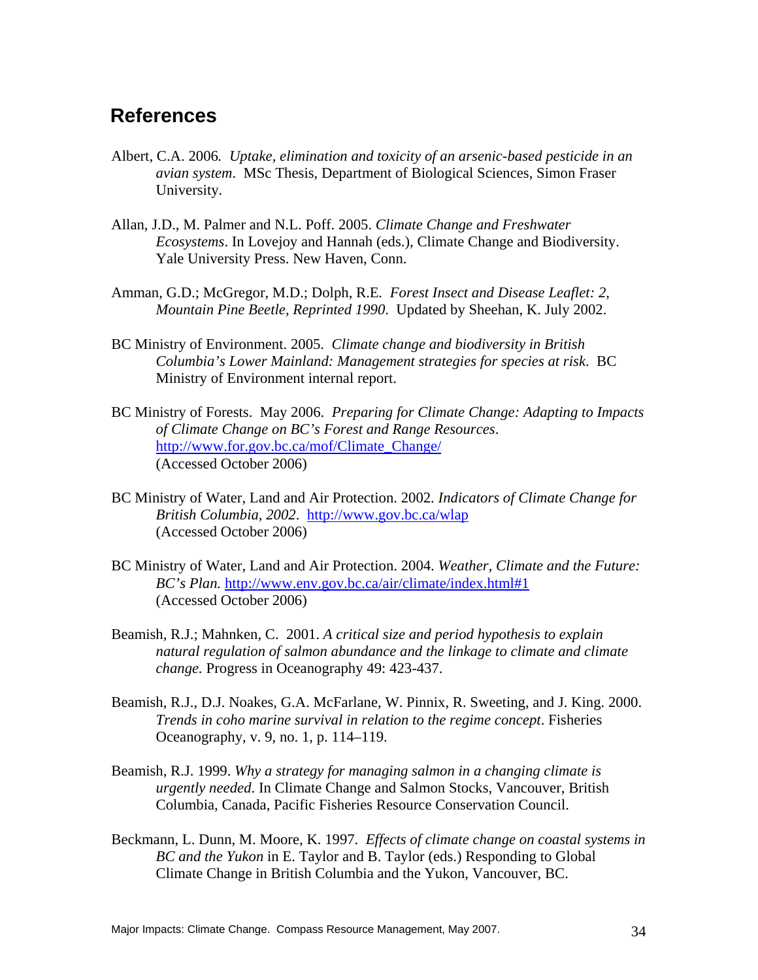# **References**

- Albert, C.A. 2006*. Uptake, elimination and toxicity of an arsenic-based pesticide in an avian system*. MSc Thesis, Department of Biological Sciences, Simon Fraser University.
- Allan, J.D., M. Palmer and N.L. Poff. 2005. *Climate Change and Freshwater Ecosystems*. In Lovejoy and Hannah (eds.), Climate Change and Biodiversity. Yale University Press. New Haven, Conn.
- Amman, G.D.; McGregor, M.D.; Dolph, R.E*. Forest Insect and Disease Leaflet: 2, Mountain Pine Beetle, Reprinted 1990*. Updated by Sheehan, K. July 2002.
- BC Ministry of Environment. 2005. *Climate change and biodiversity in British Columbia's Lower Mainland: Management strategies for species at risk*. BC Ministry of Environment internal report.
- BC Ministry of Forests. May 2006. *Preparing for Climate Change: Adapting to Impacts of Climate Change on BC's Forest and Range Resources*. http://www.for.gov.bc.ca/mof/Climate\_Change/ (Accessed October 2006)
- BC Ministry of Water, Land and Air Protection. 2002. *Indicators of Climate Change for British Columbia, 2002*. http://www.gov.bc.ca/wlap (Accessed October 2006)
- BC Ministry of Water, Land and Air Protection. 2004. *Weather, Climate and the Future: BC's Plan.* http://www.env.gov.bc.ca/air/climate/index.html#1 (Accessed October 2006)
- Beamish, R.J.; Mahnken, C. 2001. *A critical size and period hypothesis to explain natural regulation of salmon abundance and the linkage to climate and climate change.* Progress in Oceanography 49: 423-437.
- Beamish, R.J., D.J. Noakes, G.A. McFarlane, W. Pinnix, R. Sweeting, and J. King. 2000. *Trends in coho marine survival in relation to the regime concept*. Fisheries Oceanography, v. 9, no. 1, p. 114–119.
- Beamish, R.J. 1999. *Why a strategy for managing salmon in a changing climate is urgently needed*. In Climate Change and Salmon Stocks, Vancouver, British Columbia, Canada, Pacific Fisheries Resource Conservation Council.
- Beckmann, L. Dunn, M. Moore, K. 1997. *Effects of climate change on coastal systems in BC and the Yukon* in E. Taylor and B. Taylor (eds.) Responding to Global Climate Change in British Columbia and the Yukon, Vancouver, BC.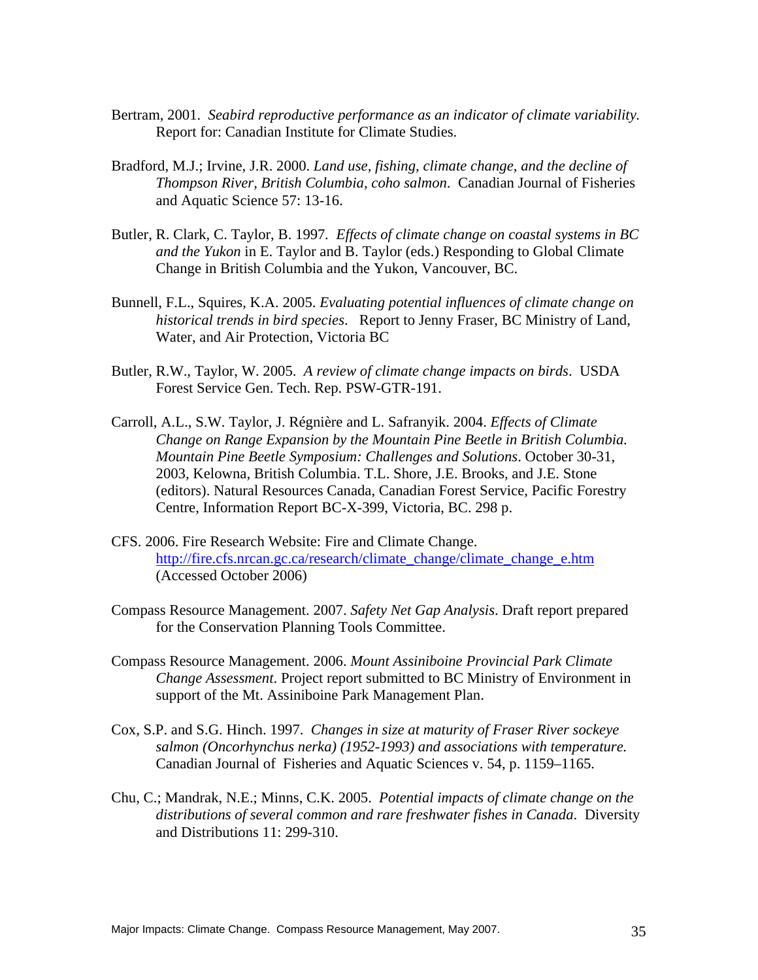- Bertram, 2001. *Seabird reproductive performance as an indicator of climate variability.* Report for: Canadian Institute for Climate Studies.
- Bradford, M.J.; Irvine, J.R. 2000. *Land use, fishing, climate change, and the decline of Thompson River, British Columbia, coho salmon*. Canadian Journal of Fisheries and Aquatic Science 57: 13-16.
- Butler, R. Clark, C. Taylor, B. 1997*. Effects of climate change on coastal systems in BC and the Yukon* in E. Taylor and B. Taylor (eds.) Responding to Global Climate Change in British Columbia and the Yukon, Vancouver, BC.
- Bunnell, F.L., Squires, K.A. 2005. *Evaluating potential influences of climate change on historical trends in bird species*. Report to Jenny Fraser, BC Ministry of Land, Water, and Air Protection, Victoria BC
- Butler, R.W., Taylor, W. 2005. *A review of climate change impacts on birds*. USDA Forest Service Gen. Tech. Rep. PSW-GTR-191.
- Carroll, A.L., S.W. Taylor, J. Régnière and L. Safranyik. 2004. *Effects of Climate Change on Range Expansion by the Mountain Pine Beetle in British Columbia. Mountain Pine Beetle Symposium: Challenges and Solutions*. October 30-31, 2003, Kelowna, British Columbia. T.L. Shore, J.E. Brooks, and J.E. Stone (editors). Natural Resources Canada, Canadian Forest Service, Pacific Forestry Centre, Information Report BC-X-399, Victoria, BC. 298 p.
- CFS. 2006. Fire Research Website: Fire and Climate Change. http://fire.cfs.nrcan.gc.ca/research/climate\_change/climate\_change\_e.htm (Accessed October 2006)
- Compass Resource Management. 2007. *Safety Net Gap Analysis*. Draft report prepared for the Conservation Planning Tools Committee.
- Compass Resource Management. 2006. *Mount Assiniboine Provincial Park Climate Change Assessment*. Project report submitted to BC Ministry of Environment in support of the Mt. Assiniboine Park Management Plan.
- Cox, S.P. and S.G. Hinch. 1997. *Changes in size at maturity of Fraser River sockeye salmon (Oncorhynchus nerka) (1952-1993) and associations with temperature.* Canadian Journal of Fisheries and Aquatic Sciences v. 54, p. 1159–1165.
- Chu, C.; Mandrak, N.E.; Minns, C.K. 2005. *Potential impacts of climate change on the distributions of several common and rare freshwater fishes in Canada*. Diversity and Distributions 11: 299-310.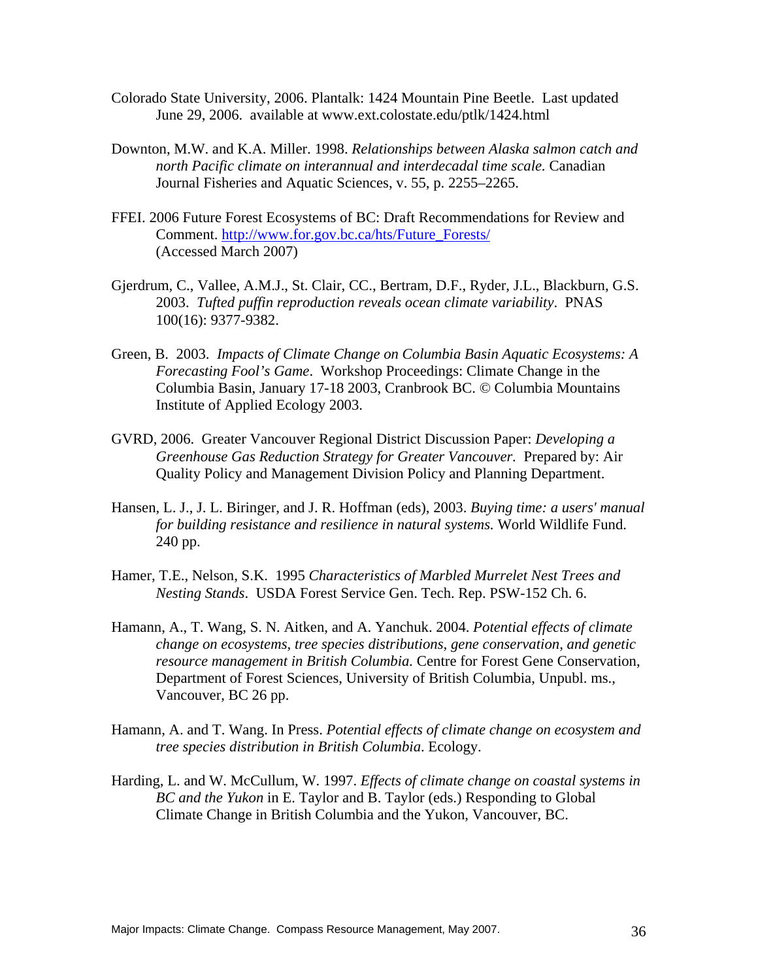- Colorado State University, 2006. Plantalk: 1424 Mountain Pine Beetle. Last updated June 29, 2006. available at www.ext.colostate.edu/ptlk/1424.html
- Downton, M.W. and K.A. Miller. 1998. *Relationships between Alaska salmon catch and north Pacific climate on interannual and interdecadal time scale.* Canadian Journal Fisheries and Aquatic Sciences, v. 55, p. 2255–2265.
- FFEI. 2006 Future Forest Ecosystems of BC: Draft Recommendations for Review and Comment. http://www.for.gov.bc.ca/hts/Future\_Forests/ (Accessed March 2007)
- Gjerdrum, C., Vallee, A.M.J., St. Clair, CC., Bertram, D.F., Ryder, J.L., Blackburn, G.S. 2003. *Tufted puffin reproduction reveals ocean climate variability*. PNAS 100(16): 9377-9382.
- Green, B. 2003. *Impacts of Climate Change on Columbia Basin Aquatic Ecosystems: A Forecasting Fool's Game*. Workshop Proceedings: Climate Change in the Columbia Basin, January 17-18 2003, Cranbrook BC. © Columbia Mountains Institute of Applied Ecology 2003.
- GVRD, 2006. Greater Vancouver Regional District Discussion Paper: *Developing a Greenhouse Gas Reduction Strategy for Greater Vancouver.* Prepared by: Air Quality Policy and Management Division Policy and Planning Department.
- Hansen, L. J., J. L. Biringer, and J. R. Hoffman (eds), 2003. *Buying time: a users' manual for building resistance and resilience in natural systems.* World Wildlife Fund. 240 pp.
- Hamer, T.E., Nelson, S.K. 1995 *Characteristics of Marbled Murrelet Nest Trees and Nesting Stands*. USDA Forest Service Gen. Tech. Rep. PSW-152 Ch. 6.
- Hamann, A., T. Wang, S. N. Aitken, and A. Yanchuk. 2004. *Potential effects of climate change on ecosystems, tree species distributions, gene conservation, and genetic resource management in British Columbia.* Centre for Forest Gene Conservation, Department of Forest Sciences, University of British Columbia, Unpubl. ms., Vancouver, BC 26 pp.
- Hamann, A. and T. Wang. In Press. *Potential effects of climate change on ecosystem and tree species distribution in British Columbia*. Ecology.
- Harding, L. and W. McCullum, W. 1997. *Effects of climate change on coastal systems in BC and the Yukon* in E. Taylor and B. Taylor (eds.) Responding to Global Climate Change in British Columbia and the Yukon, Vancouver, BC.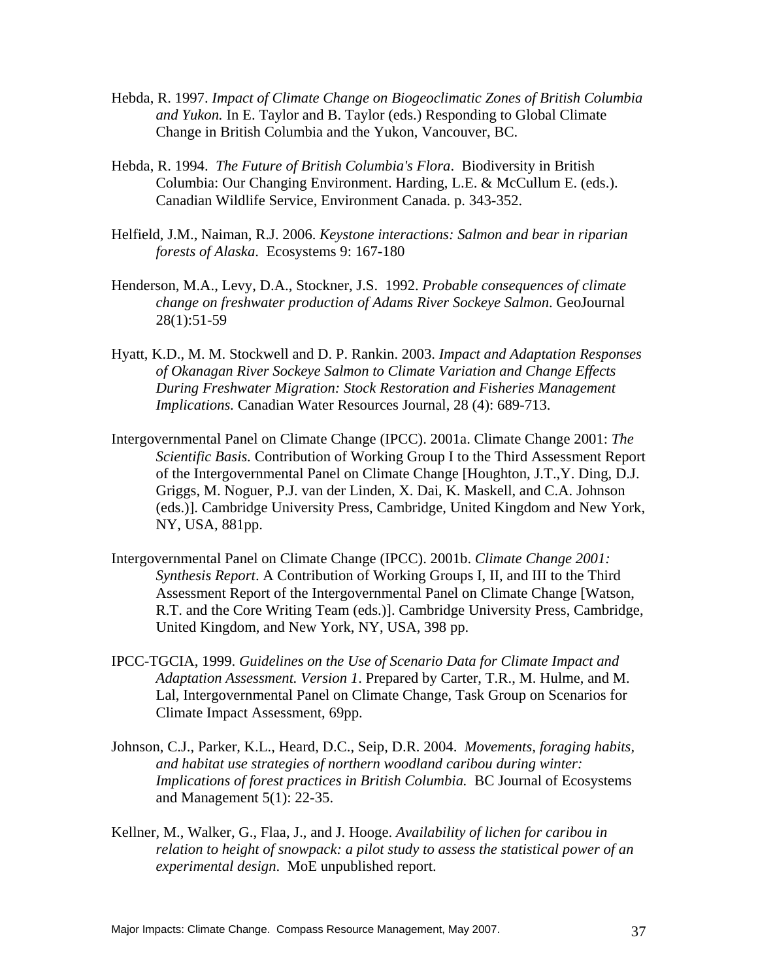- Hebda, R. 1997. *Impact of Climate Change on Biogeoclimatic Zones of British Columbia and Yukon.* In E. Taylor and B. Taylor (eds.) Responding to Global Climate Change in British Columbia and the Yukon, Vancouver, BC.
- Hebda, R. 1994. *The Future of British Columbia's Flora*. Biodiversity in British Columbia: Our Changing Environment. Harding, L.E. & McCullum E. (eds.). Canadian Wildlife Service, Environment Canada. p. 343-352.
- Helfield, J.M., Naiman, R.J. 2006. *Keystone interactions: Salmon and bear in riparian forests of Alaska*. Ecosystems 9: 167-180
- Henderson, M.A., Levy, D.A., Stockner, J.S. 1992. *Probable consequences of climate change on freshwater production of Adams River Sockeye Salmon*. GeoJournal 28(1):51-59
- Hyatt, K.D., M. M. Stockwell and D. P. Rankin. 2003. *Impact and Adaptation Responses of Okanagan River Sockeye Salmon to Climate Variation and Change Effects During Freshwater Migration: Stock Restoration and Fisheries Management Implications.* Canadian Water Resources Journal, 28 (4): 689-713.
- Intergovernmental Panel on Climate Change (IPCC). 2001a. Climate Change 2001: *The Scientific Basis.* Contribution of Working Group I to the Third Assessment Report of the Intergovernmental Panel on Climate Change [Houghton, J.T.,Y. Ding, D.J. Griggs, M. Noguer, P.J. van der Linden, X. Dai, K. Maskell, and C.A. Johnson (eds.)]. Cambridge University Press, Cambridge, United Kingdom and New York, NY, USA, 881pp.
- Intergovernmental Panel on Climate Change (IPCC). 2001b. *Climate Change 2001: Synthesis Report*. A Contribution of Working Groups I, II, and III to the Third Assessment Report of the Intergovernmental Panel on Climate Change [Watson, R.T. and the Core Writing Team (eds.)]. Cambridge University Press, Cambridge, United Kingdom, and New York, NY, USA, 398 pp.
- IPCC-TGCIA, 1999. *Guidelines on the Use of Scenario Data for Climate Impact and Adaptation Assessment. Version 1*. Prepared by Carter, T.R., M. Hulme, and M. Lal, Intergovernmental Panel on Climate Change, Task Group on Scenarios for Climate Impact Assessment, 69pp.
- Johnson, C.J., Parker, K.L., Heard, D.C., Seip, D.R. 2004. *Movements, foraging habits, and habitat use strategies of northern woodland caribou during winter: Implications of forest practices in British Columbia.* BC Journal of Ecosystems and Management 5(1): 22-35.
- Kellner, M., Walker, G., Flaa, J., and J. Hooge. *Availability of lichen for caribou in relation to height of snowpack: a pilot study to assess the statistical power of an experimental design*. MoE unpublished report.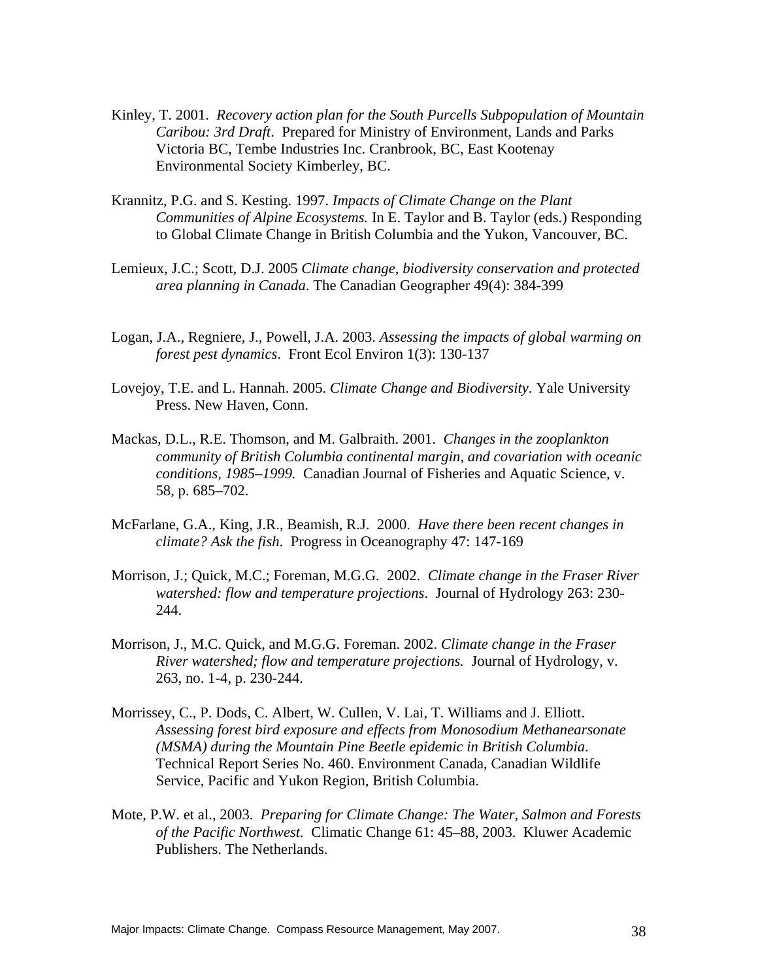- Kinley, T. 2001. *Recovery action plan for the South Purcells Subpopulation of Mountain Caribou: 3rd Draft*. Prepared for Ministry of Environment, Lands and Parks Victoria BC, Tembe Industries Inc. Cranbrook, BC, East Kootenay Environmental Society Kimberley, BC.
- Krannitz, P.G. and S. Kesting. 1997. *Impacts of Climate Change on the Plant Communities of Alpine Ecosystems.* In E. Taylor and B. Taylor (eds.) Responding to Global Climate Change in British Columbia and the Yukon, Vancouver, BC.
- Lemieux, J.C.; Scott, D.J. 2005 *Climate change, biodiversity conservation and protected area planning in Canada*. The Canadian Geographer 49(4): 384-399
- Logan, J.A., Regniere, J., Powell, J.A. 2003. *Assessing the impacts of global warming on forest pest dynamics*. Front Ecol Environ 1(3): 130-137
- Lovejoy, T.E. and L. Hannah. 2005. *Climate Change and Biodiversity*. Yale University Press. New Haven, Conn.
- Mackas, D.L., R.E. Thomson, and M. Galbraith. 2001. *Changes in the zooplankton community of British Columbia continental margin, and covariation with oceanic conditions, 1985–1999.* Canadian Journal of Fisheries and Aquatic Science, v. 58, p. 685–702.
- McFarlane, G.A., King, J.R., Beamish, R.J. 2000. *Have there been recent changes in climate? Ask the fish*. Progress in Oceanography 47: 147-169
- Morrison, J.; Quick, M.C.; Foreman, M.G.G. 2002. *Climate change in the Fraser River watershed: flow and temperature projections*. Journal of Hydrology 263: 230- 244.
- Morrison, J., M.C. Quick, and M.G.G. Foreman. 2002. *Climate change in the Fraser River watershed; flow and temperature projections.* Journal of Hydrology, v. 263, no. 1-4, p. 230-244.
- Morrissey, C., P. Dods, C. Albert, W. Cullen, V. Lai, T. Williams and J. Elliott. *Assessing forest bird exposure and effects from Monosodium Methanearsonate (MSMA) during the Mountain Pine Beetle epidemic in British Columbia*. Technical Report Series No. 460. Environment Canada, Canadian Wildlife Service, Pacific and Yukon Region, British Columbia.
- Mote, P.W. et al., 2003. *Preparing for Climate Change: The Water, Salmon and Forests of the Pacific Northwest.* Climatic Change 61: 45–88, 2003. Kluwer Academic Publishers. The Netherlands.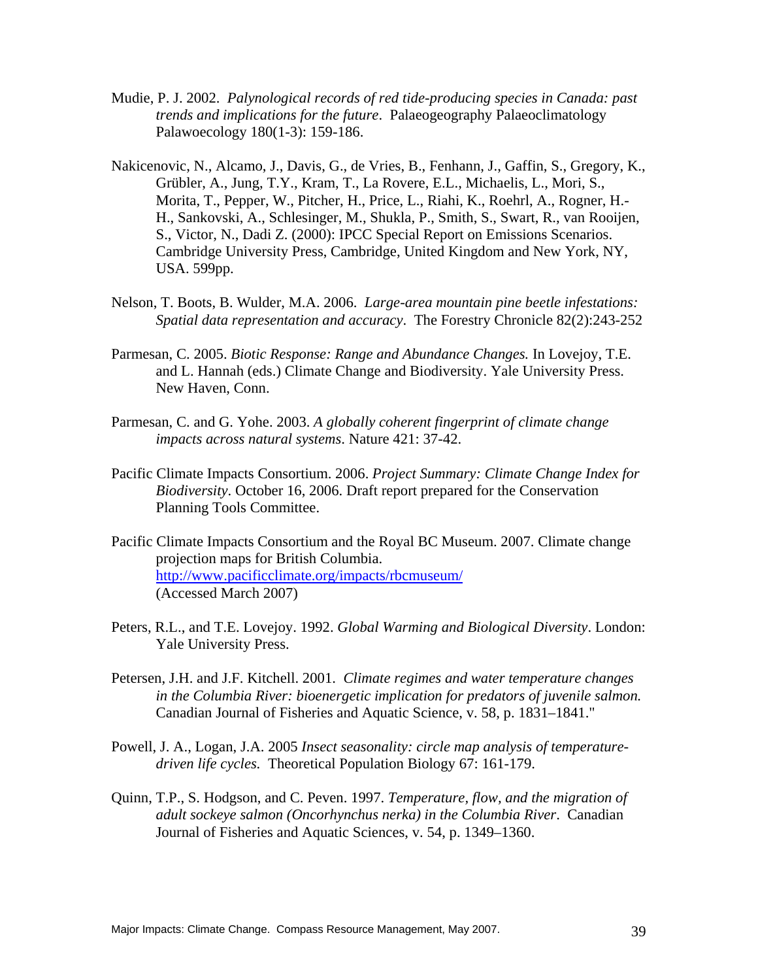- Mudie, P. J. 2002. *Palynological records of red tide-producing species in Canada: past trends and implications for the future*. Palaeogeography Palaeoclimatology Palawoecology 180(1-3): 159-186.
- Nakicenovic, N., Alcamo, J., Davis, G., de Vries, B., Fenhann, J., Gaffin, S., Gregory, K., Grübler, A., Jung, T.Y., Kram, T., La Rovere, E.L., Michaelis, L., Mori, S., Morita, T., Pepper, W., Pitcher, H., Price, L., Riahi, K., Roehrl, A., Rogner, H.- H., Sankovski, A., Schlesinger, M., Shukla, P., Smith, S., Swart, R., van Rooijen, S., Victor, N., Dadi Z. (2000): IPCC Special Report on Emissions Scenarios. Cambridge University Press, Cambridge, United Kingdom and New York, NY, USA. 599pp.
- Nelson, T. Boots, B. Wulder, M.A. 2006. *Large-area mountain pine beetle infestations: Spatial data representation and accuracy*. The Forestry Chronicle 82(2):243-252
- Parmesan, C. 2005. *Biotic Response: Range and Abundance Changes.* In Lovejoy, T.E. and L. Hannah (eds.) Climate Change and Biodiversity. Yale University Press. New Haven, Conn.
- Parmesan, C. and G. Yohe. 2003. *A globally coherent fingerprint of climate change impacts across natural systems*. Nature 421: 37-42.
- Pacific Climate Impacts Consortium. 2006. *Project Summary: Climate Change Index for Biodiversity*. October 16, 2006. Draft report prepared for the Conservation Planning Tools Committee.
- Pacific Climate Impacts Consortium and the Royal BC Museum. 2007. Climate change projection maps for British Columbia. http://www.pacificclimate.org/impacts/rbcmuseum/ (Accessed March 2007)
- Peters, R.L., and T.E. Lovejoy. 1992. *Global Warming and Biological Diversity*. London: Yale University Press.
- Petersen, J.H. and J.F. Kitchell. 2001. *Climate regimes and water temperature changes in the Columbia River: bioenergetic implication for predators of juvenile salmon.* Canadian Journal of Fisheries and Aquatic Science, v. 58, p. 1831–1841."
- Powell, J. A., Logan, J.A. 2005 *Insect seasonality: circle map analysis of temperaturedriven life cycles.* Theoretical Population Biology 67: 161-179.
- Quinn, T.P., S. Hodgson, and C. Peven. 1997. *Temperature, flow, and the migration of adult sockeye salmon (Oncorhynchus nerka) in the Columbia River*. Canadian Journal of Fisheries and Aquatic Sciences, v. 54, p. 1349–1360.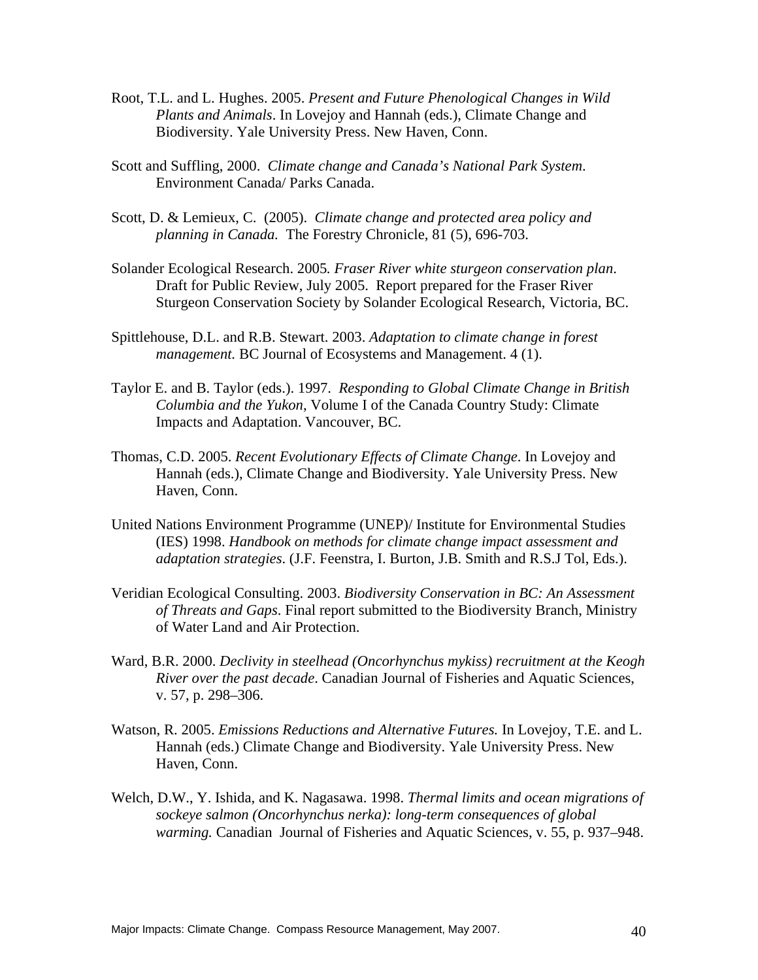- Root, T.L. and L. Hughes. 2005. *Present and Future Phenological Changes in Wild Plants and Animals*. In Lovejoy and Hannah (eds.), Climate Change and Biodiversity. Yale University Press. New Haven, Conn.
- Scott and Suffling, 2000. *Climate change and Canada's National Park System*. Environment Canada/ Parks Canada.
- Scott, D. & Lemieux, C. (2005). *Climate change and protected area policy and planning in Canada.* The Forestry Chronicle, 81 (5), 696-703.
- Solander Ecological Research. 2005*. Fraser River white sturgeon conservation plan*. Draft for Public Review, July 2005. Report prepared for the Fraser River Sturgeon Conservation Society by Solander Ecological Research, Victoria, BC.
- Spittlehouse, D.L. and R.B. Stewart. 2003. *Adaptation to climate change in forest management.* BC Journal of Ecosystems and Management. 4 (1).
- Taylor E. and B. Taylor (eds.). 1997. *Responding to Global Climate Change in British Columbia and the Yukon*, Volume I of the Canada Country Study: Climate Impacts and Adaptation. Vancouver, BC.
- Thomas, C.D. 2005. *Recent Evolutionary Effects of Climate Change*. In Lovejoy and Hannah (eds.), Climate Change and Biodiversity. Yale University Press. New Haven, Conn.
- United Nations Environment Programme (UNEP)/ Institute for Environmental Studies (IES) 1998. *Handbook on methods for climate change impact assessment and adaptation strategies*. (J.F. Feenstra, I. Burton, J.B. Smith and R.S.J Tol, Eds.).
- Veridian Ecological Consulting. 2003. *Biodiversity Conservation in BC: An Assessment of Threats and Gaps*. Final report submitted to the Biodiversity Branch, Ministry of Water Land and Air Protection.
- Ward, B.R. 2000. *Declivity in steelhead (Oncorhynchus mykiss) recruitment at the Keogh River over the past decade*. Canadian Journal of Fisheries and Aquatic Sciences, v. 57, p. 298–306.
- Watson, R. 2005. *Emissions Reductions and Alternative Futures.* In Lovejoy, T.E. and L. Hannah (eds.) Climate Change and Biodiversity. Yale University Press. New Haven, Conn.
- Welch, D.W., Y. Ishida, and K. Nagasawa. 1998. *Thermal limits and ocean migrations of sockeye salmon (Oncorhynchus nerka): long-term consequences of global warming.* Canadian Journal of Fisheries and Aquatic Sciences, v. 55, p. 937–948.